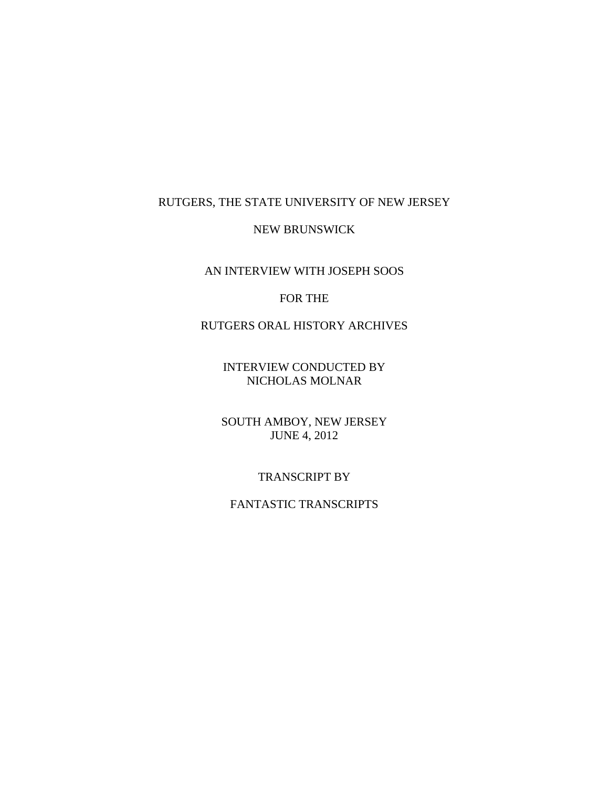## RUTGERS, THE STATE UNIVERSITY OF NEW JERSEY

### NEW BRUNSWICK

# AN INTERVIEW WITH JOSEPH SOOS

## FOR THE

# RUTGERS ORAL HISTORY ARCHIVES

INTERVIEW CONDUCTED BY NICHOLAS MOLNAR

SOUTH AMBOY, NEW JERSEY JUNE 4, 2012

### TRANSCRIPT BY

## FANTASTIC TRANSCRIPTS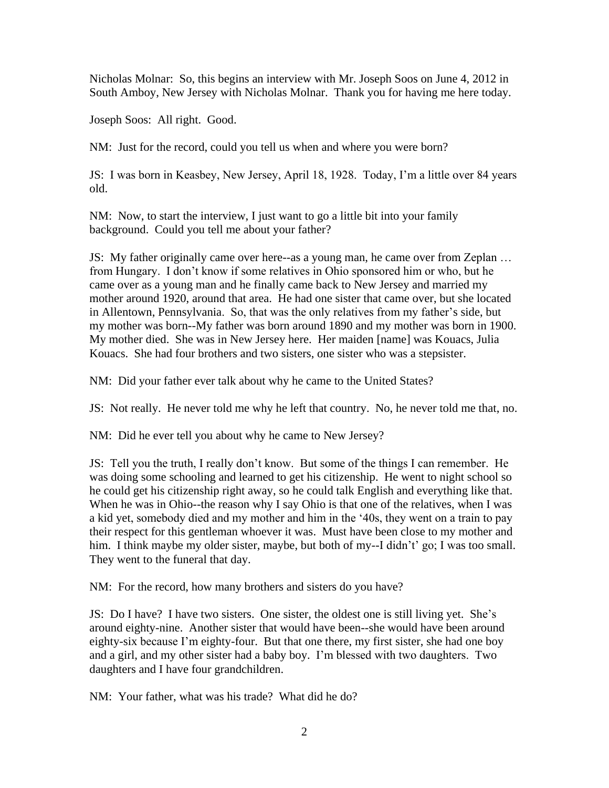Nicholas Molnar: So, this begins an interview with Mr. Joseph Soos on June 4, 2012 in South Amboy, New Jersey with Nicholas Molnar. Thank you for having me here today.

Joseph Soos: All right. Good.

NM: Just for the record, could you tell us when and where you were born?

JS: I was born in Keasbey, New Jersey, April 18, 1928. Today, I'm a little over 84 years old.

NM: Now, to start the interview, I just want to go a little bit into your family background. Could you tell me about your father?

JS: My father originally came over here--as a young man, he came over from Zeplan … from Hungary. I don't know if some relatives in Ohio sponsored him or who, but he came over as a young man and he finally came back to New Jersey and married my mother around 1920, around that area. He had one sister that came over, but she located in Allentown, Pennsylvania. So, that was the only relatives from my father's side, but my mother was born--My father was born around 1890 and my mother was born in 1900. My mother died. She was in New Jersey here. Her maiden [name] was Kouacs, Julia Kouacs. She had four brothers and two sisters, one sister who was a stepsister.

NM: Did your father ever talk about why he came to the United States?

JS: Not really. He never told me why he left that country. No, he never told me that, no.

NM: Did he ever tell you about why he came to New Jersey?

JS: Tell you the truth, I really don't know. But some of the things I can remember. He was doing some schooling and learned to get his citizenship. He went to night school so he could get his citizenship right away, so he could talk English and everything like that. When he was in Ohio--the reason why I say Ohio is that one of the relatives, when I was a kid yet, somebody died and my mother and him in the '40s, they went on a train to pay their respect for this gentleman whoever it was. Must have been close to my mother and him. I think maybe my older sister, maybe, but both of my--I didn't' go; I was too small. They went to the funeral that day.

NM: For the record, how many brothers and sisters do you have?

JS: Do I have? I have two sisters. One sister, the oldest one is still living yet. She's around eighty-nine. Another sister that would have been--she would have been around eighty-six because I'm eighty-four. But that one there, my first sister, she had one boy and a girl, and my other sister had a baby boy. I'm blessed with two daughters. Two daughters and I have four grandchildren.

NM: Your father, what was his trade? What did he do?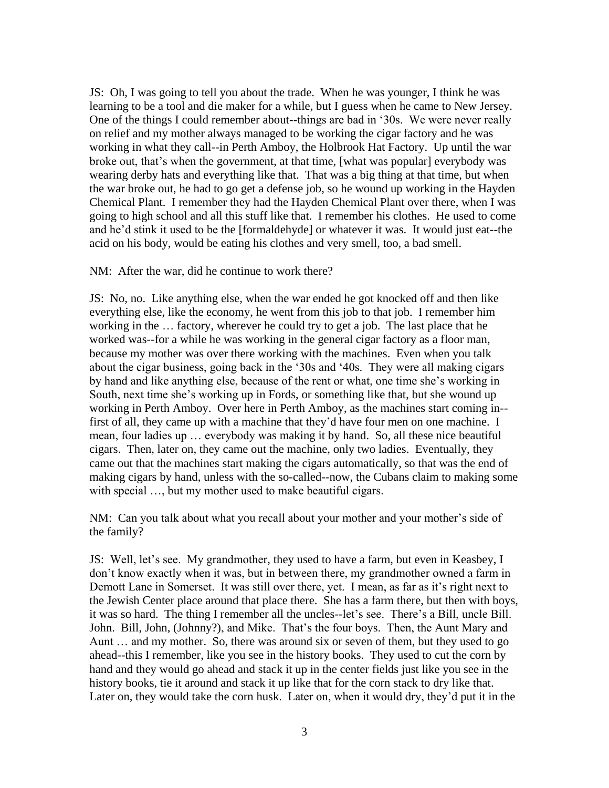JS: Oh, I was going to tell you about the trade. When he was younger, I think he was learning to be a tool and die maker for a while, but I guess when he came to New Jersey. One of the things I could remember about--things are bad in '30s. We were never really on relief and my mother always managed to be working the cigar factory and he was working in what they call--in Perth Amboy, the Holbrook Hat Factory. Up until the war broke out, that's when the government, at that time, [what was popular] everybody was wearing derby hats and everything like that. That was a big thing at that time, but when the war broke out, he had to go get a defense job, so he wound up working in the Hayden Chemical Plant. I remember they had the Hayden Chemical Plant over there, when I was going to high school and all this stuff like that. I remember his clothes. He used to come and he'd stink it used to be the [formaldehyde] or whatever it was. It would just eat--the acid on his body, would be eating his clothes and very smell, too, a bad smell.

NM: After the war, did he continue to work there?

JS: No, no. Like anything else, when the war ended he got knocked off and then like everything else, like the economy, he went from this job to that job. I remember him working in the … factory, wherever he could try to get a job. The last place that he worked was--for a while he was working in the general cigar factory as a floor man, because my mother was over there working with the machines. Even when you talk about the cigar business, going back in the '30s and '40s. They were all making cigars by hand and like anything else, because of the rent or what, one time she's working in South, next time she's working up in Fords, or something like that, but she wound up working in Perth Amboy. Over here in Perth Amboy, as the machines start coming in- first of all, they came up with a machine that they'd have four men on one machine. I mean, four ladies up … everybody was making it by hand. So, all these nice beautiful cigars. Then, later on, they came out the machine, only two ladies. Eventually, they came out that the machines start making the cigars automatically, so that was the end of making cigars by hand, unless with the so-called--now, the Cubans claim to making some with special ..., but my mother used to make beautiful cigars.

NM: Can you talk about what you recall about your mother and your mother's side of the family?

JS: Well, let's see. My grandmother, they used to have a farm, but even in Keasbey, I don't know exactly when it was, but in between there, my grandmother owned a farm in Demott Lane in Somerset. It was still over there, yet. I mean, as far as it's right next to the Jewish Center place around that place there. She has a farm there, but then with boys, it was so hard. The thing I remember all the uncles--let's see. There's a Bill, uncle Bill. John. Bill, John, (Johnny?), and Mike. That's the four boys. Then, the Aunt Mary and Aunt … and my mother. So, there was around six or seven of them, but they used to go ahead--this I remember, like you see in the history books. They used to cut the corn by hand and they would go ahead and stack it up in the center fields just like you see in the history books, tie it around and stack it up like that for the corn stack to dry like that. Later on, they would take the corn husk. Later on, when it would dry, they'd put it in the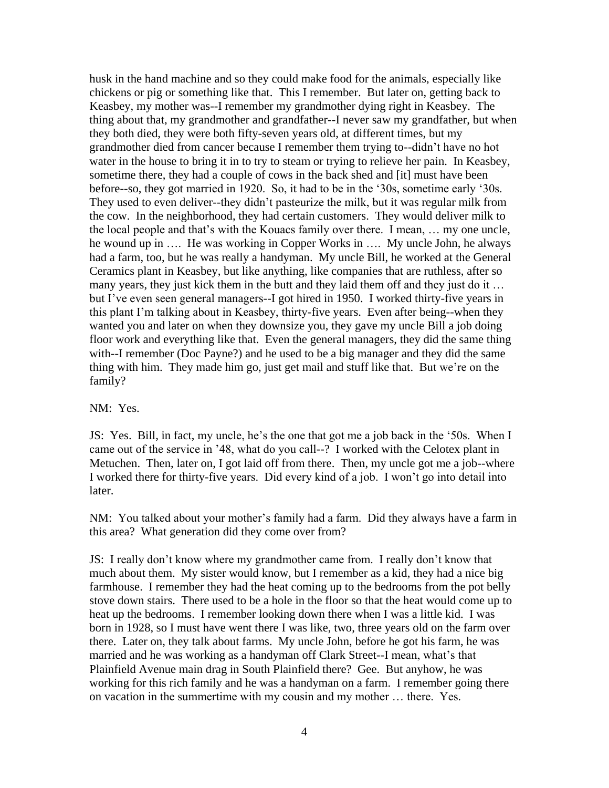husk in the hand machine and so they could make food for the animals, especially like chickens or pig or something like that. This I remember. But later on, getting back to Keasbey, my mother was--I remember my grandmother dying right in Keasbey. The thing about that, my grandmother and grandfather--I never saw my grandfather, but when they both died, they were both fifty-seven years old, at different times, but my grandmother died from cancer because I remember them trying to--didn't have no hot water in the house to bring it in to try to steam or trying to relieve her pain. In Keasbey, sometime there, they had a couple of cows in the back shed and [it] must have been before--so, they got married in 1920. So, it had to be in the '30s, sometime early '30s. They used to even deliver--they didn't pasteurize the milk, but it was regular milk from the cow. In the neighborhood, they had certain customers. They would deliver milk to the local people and that's with the Kouacs family over there. I mean, … my one uncle, he wound up in …. He was working in Copper Works in …. My uncle John, he always had a farm, too, but he was really a handyman. My uncle Bill, he worked at the General Ceramics plant in Keasbey, but like anything, like companies that are ruthless, after so many years, they just kick them in the butt and they laid them off and they just do it ... but I've even seen general managers--I got hired in 1950. I worked thirty-five years in this plant I'm talking about in Keasbey, thirty-five years. Even after being--when they wanted you and later on when they downsize you, they gave my uncle Bill a job doing floor work and everything like that. Even the general managers, they did the same thing with--I remember (Doc Payne?) and he used to be a big manager and they did the same thing with him. They made him go, just get mail and stuff like that. But we're on the family?

#### NM: Yes.

JS: Yes. Bill, in fact, my uncle, he's the one that got me a job back in the '50s. When I came out of the service in '48, what do you call--? I worked with the Celotex plant in Metuchen. Then, later on, I got laid off from there. Then, my uncle got me a job--where I worked there for thirty-five years. Did every kind of a job. I won't go into detail into later.

NM: You talked about your mother's family had a farm. Did they always have a farm in this area? What generation did they come over from?

JS: I really don't know where my grandmother came from. I really don't know that much about them. My sister would know, but I remember as a kid, they had a nice big farmhouse. I remember they had the heat coming up to the bedrooms from the pot belly stove down stairs. There used to be a hole in the floor so that the heat would come up to heat up the bedrooms. I remember looking down there when I was a little kid. I was born in 1928, so I must have went there I was like, two, three years old on the farm over there. Later on, they talk about farms. My uncle John, before he got his farm, he was married and he was working as a handyman off Clark Street--I mean, what's that Plainfield Avenue main drag in South Plainfield there? Gee. But anyhow, he was working for this rich family and he was a handyman on a farm. I remember going there on vacation in the summertime with my cousin and my mother … there. Yes.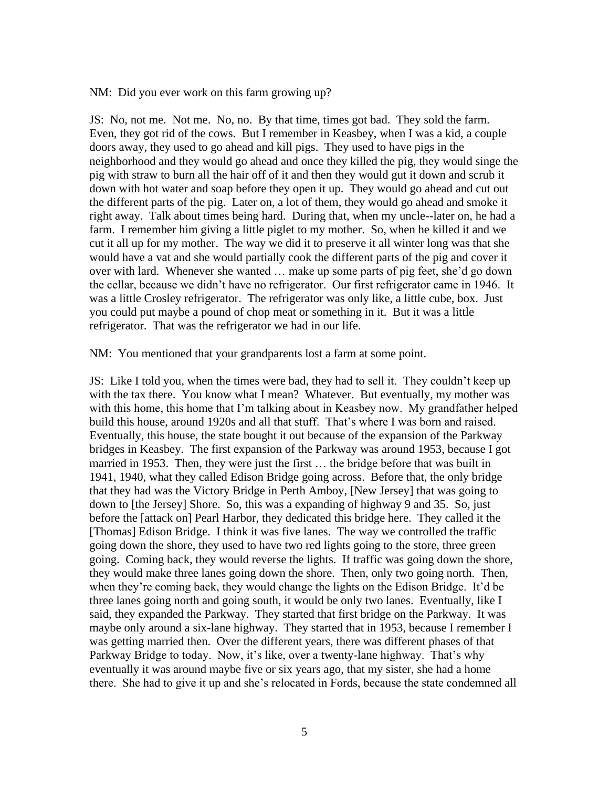NM: Did you ever work on this farm growing up?

JS: No, not me. Not me. No, no. By that time, times got bad. They sold the farm. Even, they got rid of the cows. But I remember in Keasbey, when I was a kid, a couple doors away, they used to go ahead and kill pigs. They used to have pigs in the neighborhood and they would go ahead and once they killed the pig, they would singe the pig with straw to burn all the hair off of it and then they would gut it down and scrub it down with hot water and soap before they open it up. They would go ahead and cut out the different parts of the pig. Later on, a lot of them, they would go ahead and smoke it right away. Talk about times being hard. During that, when my uncle--later on, he had a farm. I remember him giving a little piglet to my mother. So, when he killed it and we cut it all up for my mother. The way we did it to preserve it all winter long was that she would have a vat and she would partially cook the different parts of the pig and cover it over with lard. Whenever she wanted … make up some parts of pig feet, she'd go down the cellar, because we didn't have no refrigerator. Our first refrigerator came in 1946. It was a little Crosley refrigerator. The refrigerator was only like, a little cube, box. Just you could put maybe a pound of chop meat or something in it. But it was a little refrigerator. That was the refrigerator we had in our life.

NM: You mentioned that your grandparents lost a farm at some point.

JS: Like I told you, when the times were bad, they had to sell it. They couldn't keep up with the tax there. You know what I mean? Whatever. But eventually, my mother was with this home, this home that I'm talking about in Keasbey now. My grandfather helped build this house, around 1920s and all that stuff. That's where I was born and raised. Eventually, this house, the state bought it out because of the expansion of the Parkway bridges in Keasbey. The first expansion of the Parkway was around 1953, because I got married in 1953. Then, they were just the first … the bridge before that was built in 1941, 1940, what they called Edison Bridge going across. Before that, the only bridge that they had was the Victory Bridge in Perth Amboy, [New Jersey] that was going to down to [the Jersey] Shore. So, this was a expanding of highway 9 and 35. So, just before the [attack on] Pearl Harbor, they dedicated this bridge here. They called it the [Thomas] Edison Bridge. I think it was five lanes. The way we controlled the traffic going down the shore, they used to have two red lights going to the store, three green going. Coming back, they would reverse the lights. If traffic was going down the shore, they would make three lanes going down the shore. Then, only two going north. Then, when they're coming back, they would change the lights on the Edison Bridge. It'd be three lanes going north and going south, it would be only two lanes. Eventually, like I said, they expanded the Parkway. They started that first bridge on the Parkway. It was maybe only around a six-lane highway. They started that in 1953, because I remember I was getting married then. Over the different years, there was different phases of that Parkway Bridge to today. Now, it's like, over a twenty-lane highway. That's why eventually it was around maybe five or six years ago, that my sister, she had a home there. She had to give it up and she's relocated in Fords, because the state condemned all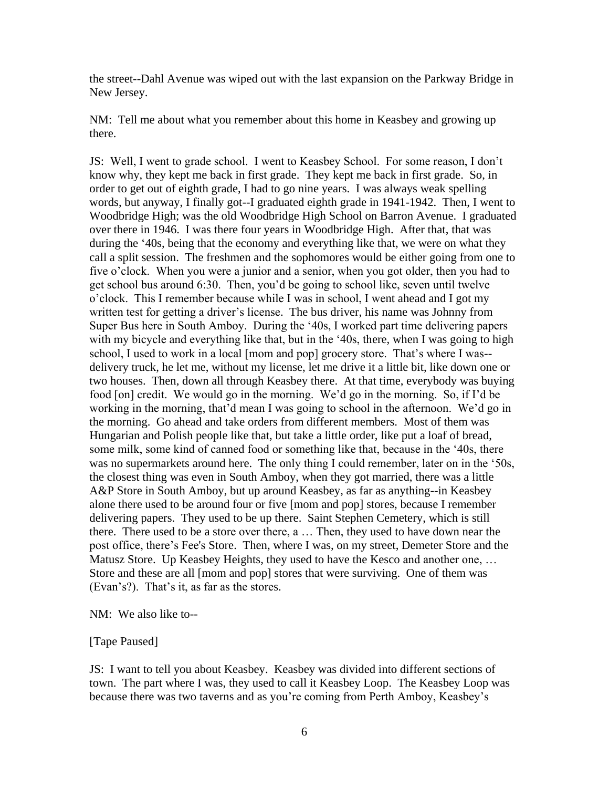the street--Dahl Avenue was wiped out with the last expansion on the Parkway Bridge in New Jersey.

NM: Tell me about what you remember about this home in Keasbey and growing up there.

JS: Well, I went to grade school. I went to Keasbey School. For some reason, I don't know why, they kept me back in first grade. They kept me back in first grade. So, in order to get out of eighth grade, I had to go nine years. I was always weak spelling words, but anyway, I finally got--I graduated eighth grade in 1941-1942. Then, I went to Woodbridge High; was the old Woodbridge High School on Barron Avenue. I graduated over there in 1946. I was there four years in Woodbridge High. After that, that was during the '40s, being that the economy and everything like that, we were on what they call a split session. The freshmen and the sophomores would be either going from one to five o'clock. When you were a junior and a senior, when you got older, then you had to get school bus around 6:30. Then, you'd be going to school like, seven until twelve o'clock. This I remember because while I was in school, I went ahead and I got my written test for getting a driver's license. The bus driver, his name was Johnny from Super Bus here in South Amboy. During the '40s, I worked part time delivering papers with my bicycle and everything like that, but in the '40s, there, when I was going to high school, I used to work in a local [mom and pop] grocery store. That's where I was- delivery truck, he let me, without my license, let me drive it a little bit, like down one or two houses. Then, down all through Keasbey there. At that time, everybody was buying food [on] credit. We would go in the morning. We'd go in the morning. So, if I'd be working in the morning, that'd mean I was going to school in the afternoon. We'd go in the morning. Go ahead and take orders from different members. Most of them was Hungarian and Polish people like that, but take a little order, like put a loaf of bread, some milk, some kind of canned food or something like that, because in the '40s, there was no supermarkets around here. The only thing I could remember, later on in the '50s, the closest thing was even in South Amboy, when they got married, there was a little A&P Store in South Amboy, but up around Keasbey, as far as anything--in Keasbey alone there used to be around four or five [mom and pop] stores, because I remember delivering papers. They used to be up there. Saint Stephen Cemetery, which is still there. There used to be a store over there, a … Then, they used to have down near the post office, there's Fee's Store. Then, where I was, on my street, Demeter Store and the Matusz Store. Up Keasbey Heights, they used to have the Kesco and another one, … Store and these are all [mom and pop] stores that were surviving. One of them was (Evan's?). That's it, as far as the stores.

NM: We also like to--

[Tape Paused]

JS: I want to tell you about Keasbey. Keasbey was divided into different sections of town. The part where I was, they used to call it Keasbey Loop. The Keasbey Loop was because there was two taverns and as you're coming from Perth Amboy, Keasbey's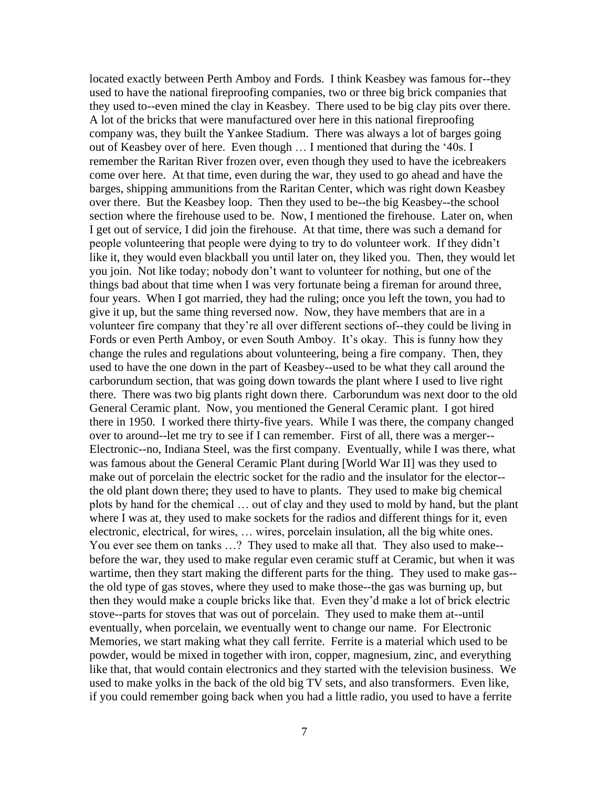located exactly between Perth Amboy and Fords. I think Keasbey was famous for--they used to have the national fireproofing companies, two or three big brick companies that they used to--even mined the clay in Keasbey. There used to be big clay pits over there. A lot of the bricks that were manufactured over here in this national fireproofing company was, they built the Yankee Stadium. There was always a lot of barges going out of Keasbey over of here. Even though … I mentioned that during the '40s. I remember the Raritan River frozen over, even though they used to have the icebreakers come over here. At that time, even during the war, they used to go ahead and have the barges, shipping ammunitions from the Raritan Center, which was right down Keasbey over there. But the Keasbey loop. Then they used to be--the big Keasbey--the school section where the firehouse used to be. Now, I mentioned the firehouse. Later on, when I get out of service, I did join the firehouse. At that time, there was such a demand for people volunteering that people were dying to try to do volunteer work. If they didn't like it, they would even blackball you until later on, they liked you. Then, they would let you join. Not like today; nobody don't want to volunteer for nothing, but one of the things bad about that time when I was very fortunate being a fireman for around three, four years. When I got married, they had the ruling; once you left the town, you had to give it up, but the same thing reversed now. Now, they have members that are in a volunteer fire company that they're all over different sections of--they could be living in Fords or even Perth Amboy, or even South Amboy. It's okay. This is funny how they change the rules and regulations about volunteering, being a fire company. Then, they used to have the one down in the part of Keasbey--used to be what they call around the carborundum section, that was going down towards the plant where I used to live right there. There was two big plants right down there. Carborundum was next door to the old General Ceramic plant. Now, you mentioned the General Ceramic plant. I got hired there in 1950. I worked there thirty-five years. While I was there, the company changed over to around--let me try to see if I can remember. First of all, there was a merger-- Electronic--no, Indiana Steel, was the first company. Eventually, while I was there, what was famous about the General Ceramic Plant during [World War II] was they used to make out of porcelain the electric socket for the radio and the insulator for the elector- the old plant down there; they used to have to plants. They used to make big chemical plots by hand for the chemical … out of clay and they used to mold by hand, but the plant where I was at, they used to make sockets for the radios and different things for it, even electronic, electrical, for wires, … wires, porcelain insulation, all the big white ones. You ever see them on tanks ...? They used to make all that. They also used to make-before the war, they used to make regular even ceramic stuff at Ceramic, but when it was wartime, then they start making the different parts for the thing. They used to make gas- the old type of gas stoves, where they used to make those--the gas was burning up, but then they would make a couple bricks like that. Even they'd make a lot of brick electric stove--parts for stoves that was out of porcelain. They used to make them at--until eventually, when porcelain, we eventually went to change our name. For Electronic Memories, we start making what they call ferrite. Ferrite is a material which used to be powder, would be mixed in together with iron, copper, magnesium, zinc, and everything like that, that would contain electronics and they started with the television business. We used to make yolks in the back of the old big TV sets, and also transformers. Even like, if you could remember going back when you had a little radio, you used to have a ferrite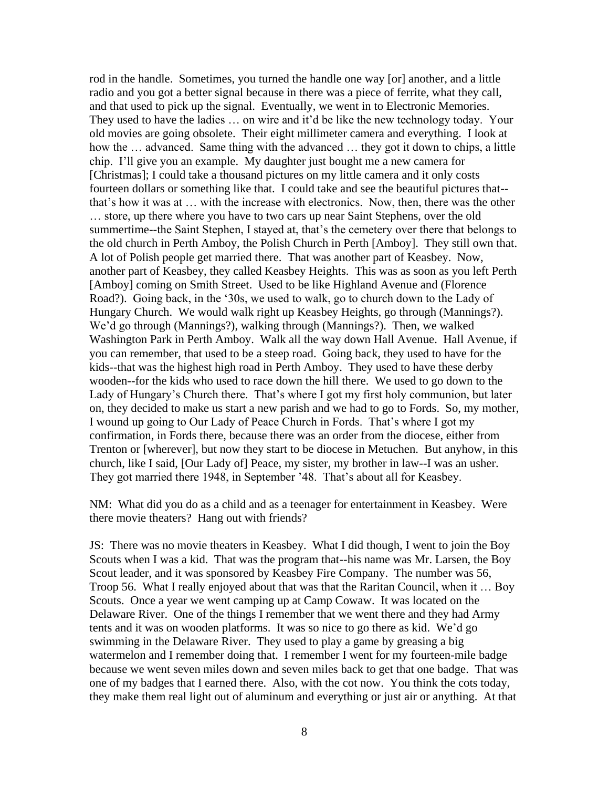rod in the handle. Sometimes, you turned the handle one way [or] another, and a little radio and you got a better signal because in there was a piece of ferrite, what they call, and that used to pick up the signal. Eventually, we went in to Electronic Memories. They used to have the ladies … on wire and it'd be like the new technology today. Your old movies are going obsolete. Their eight millimeter camera and everything. I look at how the … advanced. Same thing with the advanced … they got it down to chips, a little chip. I'll give you an example. My daughter just bought me a new camera for [Christmas]; I could take a thousand pictures on my little camera and it only costs fourteen dollars or something like that. I could take and see the beautiful pictures that- that's how it was at … with the increase with electronics. Now, then, there was the other … store, up there where you have to two cars up near Saint Stephens, over the old summertime--the Saint Stephen, I stayed at, that's the cemetery over there that belongs to the old church in Perth Amboy, the Polish Church in Perth [Amboy]. They still own that. A lot of Polish people get married there. That was another part of Keasbey. Now, another part of Keasbey, they called Keasbey Heights. This was as soon as you left Perth [Amboy] coming on Smith Street. Used to be like Highland Avenue and (Florence Road?). Going back, in the '30s, we used to walk, go to church down to the Lady of Hungary Church. We would walk right up Keasbey Heights, go through (Mannings?). We'd go through (Mannings?), walking through (Mannings?). Then, we walked Washington Park in Perth Amboy. Walk all the way down Hall Avenue. Hall Avenue, if you can remember, that used to be a steep road. Going back, they used to have for the kids--that was the highest high road in Perth Amboy. They used to have these derby wooden--for the kids who used to race down the hill there. We used to go down to the Lady of Hungary's Church there. That's where I got my first holy communion, but later on, they decided to make us start a new parish and we had to go to Fords. So, my mother, I wound up going to Our Lady of Peace Church in Fords. That's where I got my confirmation, in Fords there, because there was an order from the diocese, either from Trenton or [wherever], but now they start to be diocese in Metuchen. But anyhow, in this church, like I said, [Our Lady of] Peace, my sister, my brother in law--I was an usher. They got married there 1948, in September '48. That's about all for Keasbey.

NM: What did you do as a child and as a teenager for entertainment in Keasbey. Were there movie theaters? Hang out with friends?

JS: There was no movie theaters in Keasbey. What I did though, I went to join the Boy Scouts when I was a kid. That was the program that--his name was Mr. Larsen, the Boy Scout leader, and it was sponsored by Keasbey Fire Company. The number was 56, Troop 56. What I really enjoyed about that was that the Raritan Council, when it … Boy Scouts. Once a year we went camping up at Camp Cowaw. It was located on the Delaware River. One of the things I remember that we went there and they had Army tents and it was on wooden platforms. It was so nice to go there as kid. We'd go swimming in the Delaware River. They used to play a game by greasing a big watermelon and I remember doing that. I remember I went for my fourteen-mile badge because we went seven miles down and seven miles back to get that one badge. That was one of my badges that I earned there. Also, with the cot now. You think the cots today, they make them real light out of aluminum and everything or just air or anything. At that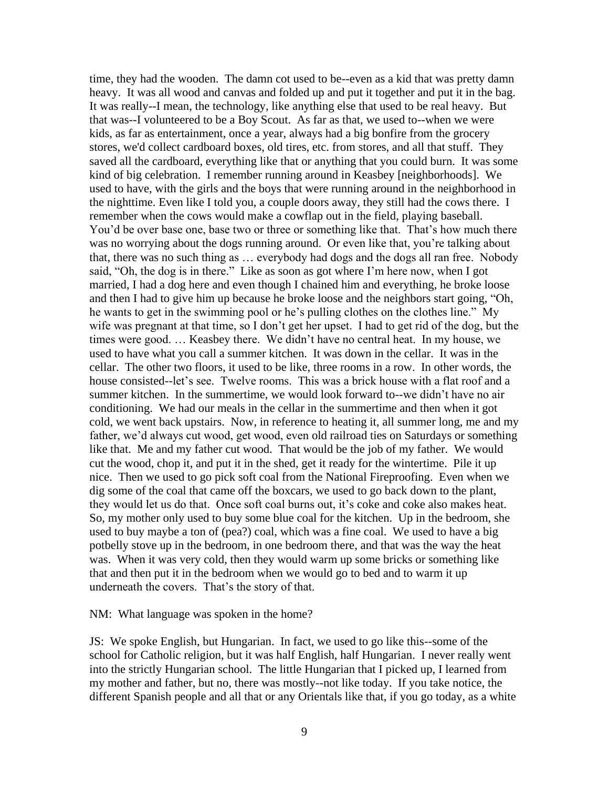time, they had the wooden. The damn cot used to be--even as a kid that was pretty damn heavy. It was all wood and canvas and folded up and put it together and put it in the bag. It was really--I mean, the technology, like anything else that used to be real heavy. But that was--I volunteered to be a Boy Scout. As far as that, we used to--when we were kids, as far as entertainment, once a year, always had a big bonfire from the grocery stores, we'd collect cardboard boxes, old tires, etc. from stores, and all that stuff. They saved all the cardboard, everything like that or anything that you could burn. It was some kind of big celebration. I remember running around in Keasbey [neighborhoods]. We used to have, with the girls and the boys that were running around in the neighborhood in the nighttime. Even like I told you, a couple doors away, they still had the cows there. I remember when the cows would make a cowflap out in the field, playing baseball. You'd be over base one, base two or three or something like that. That's how much there was no worrying about the dogs running around. Or even like that, you're talking about that, there was no such thing as … everybody had dogs and the dogs all ran free. Nobody said, "Oh, the dog is in there." Like as soon as got where I'm here now, when I got married, I had a dog here and even though I chained him and everything, he broke loose and then I had to give him up because he broke loose and the neighbors start going, "Oh, he wants to get in the swimming pool or he's pulling clothes on the clothes line." My wife was pregnant at that time, so I don't get her upset. I had to get rid of the dog, but the times were good. … Keasbey there. We didn't have no central heat. In my house, we used to have what you call a summer kitchen. It was down in the cellar. It was in the cellar. The other two floors, it used to be like, three rooms in a row. In other words, the house consisted--let's see. Twelve rooms. This was a brick house with a flat roof and a summer kitchen. In the summertime, we would look forward to--we didn't have no air conditioning. We had our meals in the cellar in the summertime and then when it got cold, we went back upstairs. Now, in reference to heating it, all summer long, me and my father, we'd always cut wood, get wood, even old railroad ties on Saturdays or something like that. Me and my father cut wood. That would be the job of my father. We would cut the wood, chop it, and put it in the shed, get it ready for the wintertime. Pile it up nice. Then we used to go pick soft coal from the National Fireproofing. Even when we dig some of the coal that came off the boxcars, we used to go back down to the plant, they would let us do that. Once soft coal burns out, it's coke and coke also makes heat. So, my mother only used to buy some blue coal for the kitchen. Up in the bedroom, she used to buy maybe a ton of (pea?) coal, which was a fine coal. We used to have a big potbelly stove up in the bedroom, in one bedroom there, and that was the way the heat was. When it was very cold, then they would warm up some bricks or something like that and then put it in the bedroom when we would go to bed and to warm it up underneath the covers. That's the story of that.

NM: What language was spoken in the home?

JS: We spoke English, but Hungarian. In fact, we used to go like this--some of the school for Catholic religion, but it was half English, half Hungarian. I never really went into the strictly Hungarian school. The little Hungarian that I picked up, I learned from my mother and father, but no, there was mostly--not like today. If you take notice, the different Spanish people and all that or any Orientals like that, if you go today, as a white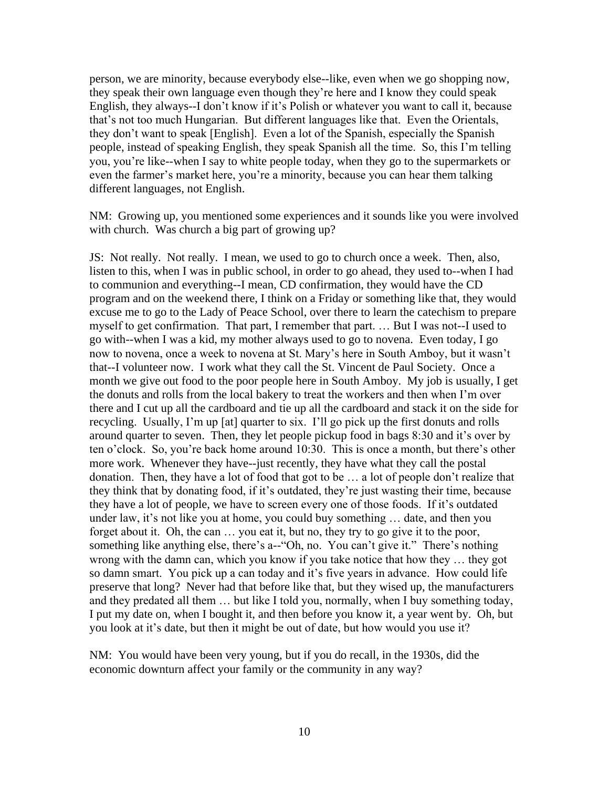person, we are minority, because everybody else--like, even when we go shopping now, they speak their own language even though they're here and I know they could speak English, they always--I don't know if it's Polish or whatever you want to call it, because that's not too much Hungarian. But different languages like that. Even the Orientals, they don't want to speak [English]. Even a lot of the Spanish, especially the Spanish people, instead of speaking English, they speak Spanish all the time. So, this I'm telling you, you're like--when I say to white people today, when they go to the supermarkets or even the farmer's market here, you're a minority, because you can hear them talking different languages, not English.

NM: Growing up, you mentioned some experiences and it sounds like you were involved with church. Was church a big part of growing up?

JS: Not really. Not really. I mean, we used to go to church once a week. Then, also, listen to this, when I was in public school, in order to go ahead, they used to--when I had to communion and everything--I mean, CD confirmation, they would have the CD program and on the weekend there, I think on a Friday or something like that, they would excuse me to go to the Lady of Peace School, over there to learn the catechism to prepare myself to get confirmation. That part, I remember that part. … But I was not--I used to go with--when I was a kid, my mother always used to go to novena. Even today, I go now to novena, once a week to novena at St. Mary's here in South Amboy, but it wasn't that--I volunteer now. I work what they call the St. Vincent de Paul Society. Once a month we give out food to the poor people here in South Amboy. My job is usually, I get the donuts and rolls from the local bakery to treat the workers and then when I'm over there and I cut up all the cardboard and tie up all the cardboard and stack it on the side for recycling. Usually, I'm up [at] quarter to six. I'll go pick up the first donuts and rolls around quarter to seven. Then, they let people pickup food in bags 8:30 and it's over by ten o'clock. So, you're back home around 10:30. This is once a month, but there's other more work. Whenever they have--just recently, they have what they call the postal donation. Then, they have a lot of food that got to be … a lot of people don't realize that they think that by donating food, if it's outdated, they're just wasting their time, because they have a lot of people, we have to screen every one of those foods. If it's outdated under law, it's not like you at home, you could buy something … date, and then you forget about it. Oh, the can … you eat it, but no, they try to go give it to the poor, something like anything else, there's a--"Oh, no. You can't give it." There's nothing wrong with the damn can, which you know if you take notice that how they … they got so damn smart. You pick up a can today and it's five years in advance. How could life preserve that long? Never had that before like that, but they wised up, the manufacturers and they predated all them … but like I told you, normally, when I buy something today, I put my date on, when I bought it, and then before you know it, a year went by. Oh, but you look at it's date, but then it might be out of date, but how would you use it?

NM: You would have been very young, but if you do recall, in the 1930s, did the economic downturn affect your family or the community in any way?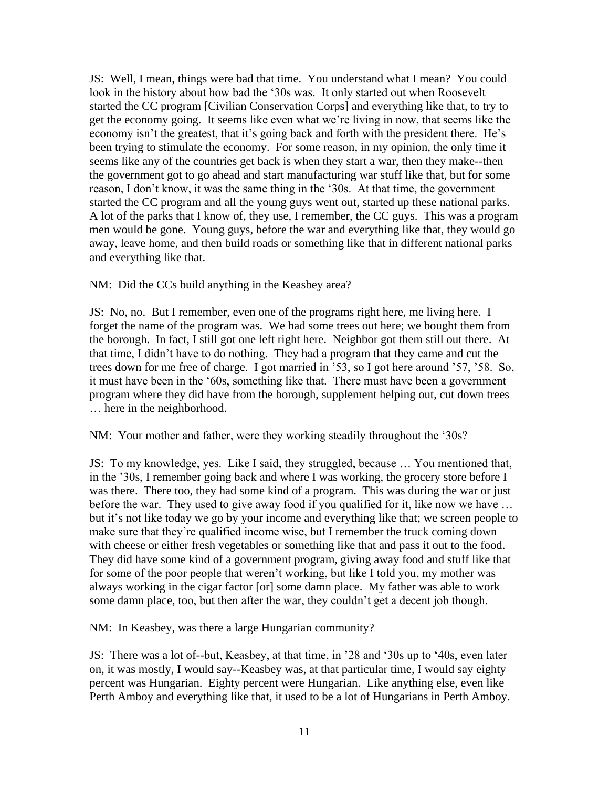JS: Well, I mean, things were bad that time. You understand what I mean? You could look in the history about how bad the '30s was. It only started out when Roosevelt started the CC program [Civilian Conservation Corps] and everything like that, to try to get the economy going. It seems like even what we're living in now, that seems like the economy isn't the greatest, that it's going back and forth with the president there. He's been trying to stimulate the economy. For some reason, in my opinion, the only time it seems like any of the countries get back is when they start a war, then they make--then the government got to go ahead and start manufacturing war stuff like that, but for some reason, I don't know, it was the same thing in the '30s. At that time, the government started the CC program and all the young guys went out, started up these national parks. A lot of the parks that I know of, they use, I remember, the CC guys. This was a program men would be gone. Young guys, before the war and everything like that, they would go away, leave home, and then build roads or something like that in different national parks and everything like that.

NM: Did the CCs build anything in the Keasbey area?

JS: No, no. But I remember, even one of the programs right here, me living here. I forget the name of the program was. We had some trees out here; we bought them from the borough. In fact, I still got one left right here. Neighbor got them still out there. At that time, I didn't have to do nothing. They had a program that they came and cut the trees down for me free of charge. I got married in '53, so I got here around '57, '58. So, it must have been in the '60s, something like that. There must have been a government program where they did have from the borough, supplement helping out, cut down trees … here in the neighborhood.

NM: Your mother and father, were they working steadily throughout the '30s?

JS: To my knowledge, yes. Like I said, they struggled, because … You mentioned that, in the '30s, I remember going back and where I was working, the grocery store before I was there. There too, they had some kind of a program. This was during the war or just before the war. They used to give away food if you qualified for it, like now we have … but it's not like today we go by your income and everything like that; we screen people to make sure that they're qualified income wise, but I remember the truck coming down with cheese or either fresh vegetables or something like that and pass it out to the food. They did have some kind of a government program, giving away food and stuff like that for some of the poor people that weren't working, but like I told you, my mother was always working in the cigar factor [or] some damn place. My father was able to work some damn place, too, but then after the war, they couldn't get a decent job though.

NM: In Keasbey, was there a large Hungarian community?

JS: There was a lot of--but, Keasbey, at that time, in '28 and '30s up to '40s, even later on, it was mostly, I would say--Keasbey was, at that particular time, I would say eighty percent was Hungarian. Eighty percent were Hungarian. Like anything else, even like Perth Amboy and everything like that, it used to be a lot of Hungarians in Perth Amboy.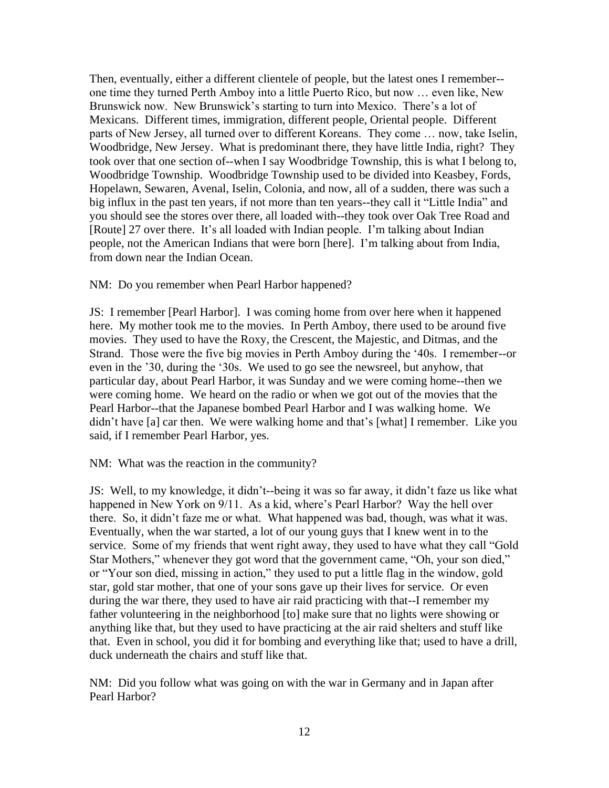Then, eventually, either a different clientele of people, but the latest ones I remember- one time they turned Perth Amboy into a little Puerto Rico, but now … even like, New Brunswick now. New Brunswick's starting to turn into Mexico. There's a lot of Mexicans. Different times, immigration, different people, Oriental people. Different parts of New Jersey, all turned over to different Koreans. They come … now, take Iselin, Woodbridge, New Jersey. What is predominant there, they have little India, right? They took over that one section of--when I say Woodbridge Township, this is what I belong to, Woodbridge Township. Woodbridge Township used to be divided into Keasbey, Fords, Hopelawn, Sewaren, Avenal, Iselin, Colonia, and now, all of a sudden, there was such a big influx in the past ten years, if not more than ten years--they call it "Little India" and you should see the stores over there, all loaded with--they took over Oak Tree Road and [Route] 27 over there. It's all loaded with Indian people. I'm talking about Indian people, not the American Indians that were born [here]. I'm talking about from India, from down near the Indian Ocean.

### NM: Do you remember when Pearl Harbor happened?

JS: I remember [Pearl Harbor]. I was coming home from over here when it happened here. My mother took me to the movies. In Perth Amboy, there used to be around five movies. They used to have the Roxy, the Crescent, the Majestic, and Ditmas, and the Strand. Those were the five big movies in Perth Amboy during the '40s. I remember--or even in the '30, during the '30s. We used to go see the newsreel, but anyhow, that particular day, about Pearl Harbor, it was Sunday and we were coming home--then we were coming home. We heard on the radio or when we got out of the movies that the Pearl Harbor--that the Japanese bombed Pearl Harbor and I was walking home. We didn't have [a] car then. We were walking home and that's [what] I remember. Like you said, if I remember Pearl Harbor, yes.

NM: What was the reaction in the community?

JS: Well, to my knowledge, it didn't--being it was so far away, it didn't faze us like what happened in New York on 9/11. As a kid, where's Pearl Harbor? Way the hell over there. So, it didn't faze me or what. What happened was bad, though, was what it was. Eventually, when the war started, a lot of our young guys that I knew went in to the service. Some of my friends that went right away, they used to have what they call "Gold Star Mothers," whenever they got word that the government came, "Oh, your son died," or "Your son died, missing in action," they used to put a little flag in the window, gold star, gold star mother, that one of your sons gave up their lives for service. Or even during the war there, they used to have air raid practicing with that--I remember my father volunteering in the neighborhood [to] make sure that no lights were showing or anything like that, but they used to have practicing at the air raid shelters and stuff like that. Even in school, you did it for bombing and everything like that; used to have a drill, duck underneath the chairs and stuff like that.

NM: Did you follow what was going on with the war in Germany and in Japan after Pearl Harbor?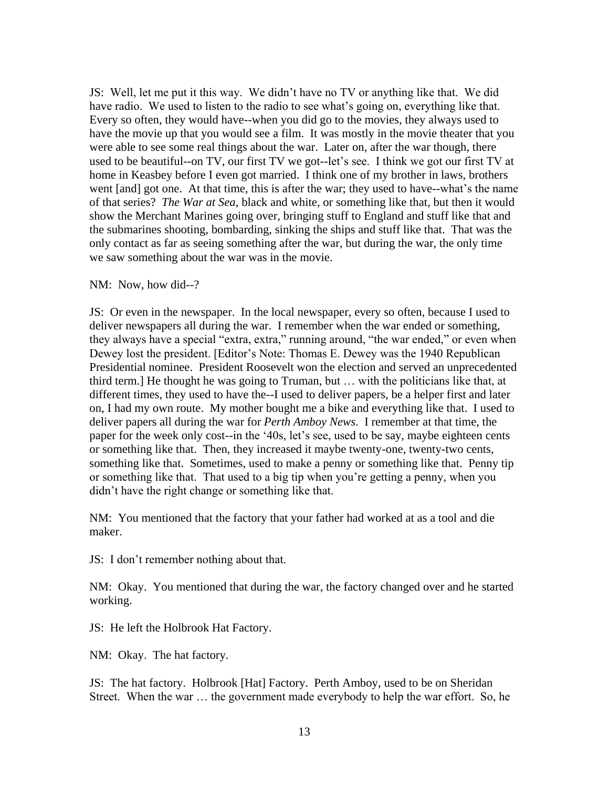JS: Well, let me put it this way. We didn't have no TV or anything like that. We did have radio. We used to listen to the radio to see what's going on, everything like that. Every so often, they would have--when you did go to the movies, they always used to have the movie up that you would see a film. It was mostly in the movie theater that you were able to see some real things about the war. Later on, after the war though, there used to be beautiful--on TV, our first TV we got--let's see. I think we got our first TV at home in Keasbey before I even got married. I think one of my brother in laws, brothers went [and] got one. At that time, this is after the war; they used to have--what's the name of that series? *The War at Sea*, black and white, or something like that, but then it would show the Merchant Marines going over, bringing stuff to England and stuff like that and the submarines shooting, bombarding, sinking the ships and stuff like that. That was the only contact as far as seeing something after the war, but during the war, the only time we saw something about the war was in the movie.

### NM: Now, how did--?

JS: Or even in the newspaper. In the local newspaper, every so often, because I used to deliver newspapers all during the war. I remember when the war ended or something, they always have a special "extra, extra," running around, "the war ended," or even when Dewey lost the president. [Editor's Note: Thomas E. Dewey was the 1940 Republican Presidential nominee. President Roosevelt won the election and served an unprecedented third term.] He thought he was going to Truman, but … with the politicians like that, at different times, they used to have the--I used to deliver papers, be a helper first and later on, I had my own route. My mother bought me a bike and everything like that. I used to deliver papers all during the war for *Perth Amboy News*. I remember at that time, the paper for the week only cost--in the '40s, let's see, used to be say, maybe eighteen cents or something like that. Then, they increased it maybe twenty-one, twenty-two cents, something like that. Sometimes, used to make a penny or something like that. Penny tip or something like that. That used to a big tip when you're getting a penny, when you didn't have the right change or something like that.

NM: You mentioned that the factory that your father had worked at as a tool and die maker.

JS: I don't remember nothing about that.

NM: Okay. You mentioned that during the war, the factory changed over and he started working.

JS: He left the Holbrook Hat Factory.

NM: Okay. The hat factory.

JS: The hat factory. Holbrook [Hat] Factory. Perth Amboy, used to be on Sheridan Street. When the war … the government made everybody to help the war effort. So, he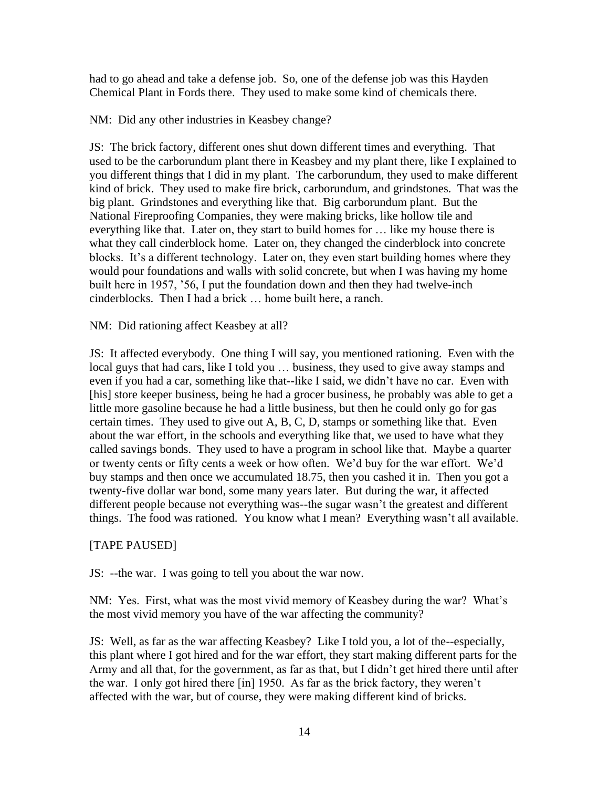had to go ahead and take a defense job. So, one of the defense job was this Hayden Chemical Plant in Fords there. They used to make some kind of chemicals there.

NM: Did any other industries in Keasbey change?

JS: The brick factory, different ones shut down different times and everything. That used to be the carborundum plant there in Keasbey and my plant there, like I explained to you different things that I did in my plant. The carborundum, they used to make different kind of brick. They used to make fire brick, carborundum, and grindstones. That was the big plant. Grindstones and everything like that. Big carborundum plant. But the National Fireproofing Companies, they were making bricks, like hollow tile and everything like that. Later on, they start to build homes for … like my house there is what they call cinderblock home. Later on, they changed the cinderblock into concrete blocks. It's a different technology. Later on, they even start building homes where they would pour foundations and walls with solid concrete, but when I was having my home built here in 1957, '56, I put the foundation down and then they had twelve-inch cinderblocks. Then I had a brick … home built here, a ranch.

NM: Did rationing affect Keasbey at all?

JS: It affected everybody. One thing I will say, you mentioned rationing. Even with the local guys that had cars, like I told you … business, they used to give away stamps and even if you had a car, something like that--like I said, we didn't have no car. Even with [his] store keeper business, being he had a grocer business, he probably was able to get a little more gasoline because he had a little business, but then he could only go for gas certain times. They used to give out A, B, C, D, stamps or something like that. Even about the war effort, in the schools and everything like that, we used to have what they called savings bonds. They used to have a program in school like that. Maybe a quarter or twenty cents or fifty cents a week or how often. We'd buy for the war effort. We'd buy stamps and then once we accumulated 18.75, then you cashed it in. Then you got a twenty-five dollar war bond, some many years later. But during the war, it affected different people because not everything was--the sugar wasn't the greatest and different things. The food was rationed. You know what I mean? Everything wasn't all available.

### [TAPE PAUSED]

JS: --the war. I was going to tell you about the war now.

NM: Yes. First, what was the most vivid memory of Keasbey during the war? What's the most vivid memory you have of the war affecting the community?

JS: Well, as far as the war affecting Keasbey? Like I told you, a lot of the--especially, this plant where I got hired and for the war effort, they start making different parts for the Army and all that, for the government, as far as that, but I didn't get hired there until after the war. I only got hired there [in] 1950. As far as the brick factory, they weren't affected with the war, but of course, they were making different kind of bricks.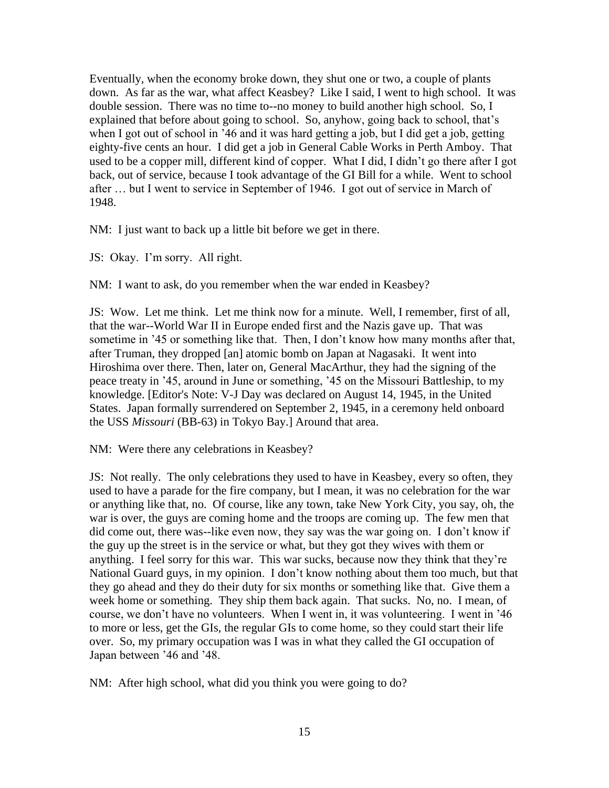Eventually, when the economy broke down, they shut one or two, a couple of plants down. As far as the war, what affect Keasbey? Like I said, I went to high school. It was double session. There was no time to--no money to build another high school. So, I explained that before about going to school. So, anyhow, going back to school, that's when I got out of school in '46 and it was hard getting a job, but I did get a job, getting eighty-five cents an hour. I did get a job in General Cable Works in Perth Amboy. That used to be a copper mill, different kind of copper. What I did, I didn't go there after I got back, out of service, because I took advantage of the GI Bill for a while. Went to school after … but I went to service in September of 1946. I got out of service in March of 1948.

NM: I just want to back up a little bit before we get in there.

JS: Okay. I'm sorry. All right.

NM: I want to ask, do you remember when the war ended in Keasbey?

JS: Wow. Let me think. Let me think now for a minute. Well, I remember, first of all, that the war--World War II in Europe ended first and the Nazis gave up. That was sometime in '45 or something like that. Then, I don't know how many months after that, after Truman, they dropped [an] atomic bomb on Japan at Nagasaki. It went into Hiroshima over there. Then, later on, General MacArthur, they had the signing of the peace treaty in '45, around in June or something, '45 on the Missouri Battleship, to my knowledge. [Editor's Note: V-J Day was declared on August 14, 1945, in the United States. Japan formally surrendered on September 2, 1945, in a ceremony held onboard the USS *Missouri* (BB-63) in Tokyo Bay.] Around that area.

NM: Were there any celebrations in Keasbey?

JS: Not really. The only celebrations they used to have in Keasbey, every so often, they used to have a parade for the fire company, but I mean, it was no celebration for the war or anything like that, no. Of course, like any town, take New York City, you say, oh, the war is over, the guys are coming home and the troops are coming up. The few men that did come out, there was--like even now, they say was the war going on. I don't know if the guy up the street is in the service or what, but they got they wives with them or anything. I feel sorry for this war. This war sucks, because now they think that they're National Guard guys, in my opinion. I don't know nothing about them too much, but that they go ahead and they do their duty for six months or something like that. Give them a week home or something. They ship them back again. That sucks. No, no. I mean, of course, we don't have no volunteers. When I went in, it was volunteering. I went in '46 to more or less, get the GIs, the regular GIs to come home, so they could start their life over. So, my primary occupation was I was in what they called the GI occupation of Japan between '46 and '48.

NM: After high school, what did you think you were going to do?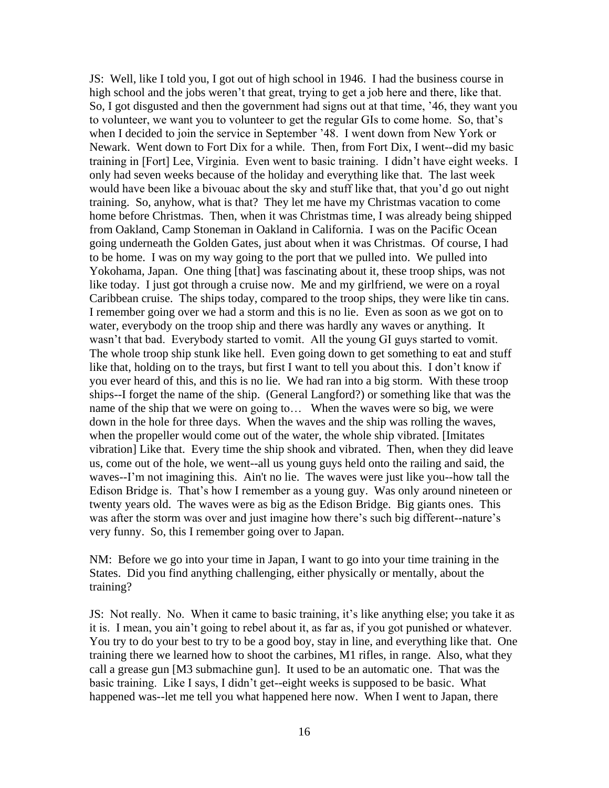JS: Well, like I told you, I got out of high school in 1946. I had the business course in high school and the jobs weren't that great, trying to get a job here and there, like that. So, I got disgusted and then the government had signs out at that time, '46, they want you to volunteer, we want you to volunteer to get the regular GIs to come home. So, that's when I decided to join the service in September '48. I went down from New York or Newark. Went down to Fort Dix for a while. Then, from Fort Dix, I went--did my basic training in [Fort] Lee, Virginia. Even went to basic training. I didn't have eight weeks. I only had seven weeks because of the holiday and everything like that. The last week would have been like a bivouac about the sky and stuff like that, that you'd go out night training. So, anyhow, what is that? They let me have my Christmas vacation to come home before Christmas. Then, when it was Christmas time, I was already being shipped from Oakland, Camp Stoneman in Oakland in California. I was on the Pacific Ocean going underneath the Golden Gates, just about when it was Christmas. Of course, I had to be home. I was on my way going to the port that we pulled into. We pulled into Yokohama, Japan. One thing [that] was fascinating about it, these troop ships, was not like today. I just got through a cruise now. Me and my girlfriend, we were on a royal Caribbean cruise. The ships today, compared to the troop ships, they were like tin cans. I remember going over we had a storm and this is no lie. Even as soon as we got on to water, everybody on the troop ship and there was hardly any waves or anything. It wasn't that bad. Everybody started to vomit. All the young GI guys started to vomit. The whole troop ship stunk like hell. Even going down to get something to eat and stuff like that, holding on to the trays, but first I want to tell you about this. I don't know if you ever heard of this, and this is no lie. We had ran into a big storm. With these troop ships--I forget the name of the ship. (General Langford?) or something like that was the name of the ship that we were on going to… When the waves were so big, we were down in the hole for three days. When the waves and the ship was rolling the waves, when the propeller would come out of the water, the whole ship vibrated. [Imitates vibration] Like that. Every time the ship shook and vibrated. Then, when they did leave us, come out of the hole, we went--all us young guys held onto the railing and said, the waves--I'm not imagining this. Ain't no lie. The waves were just like you--how tall the Edison Bridge is. That's how I remember as a young guy. Was only around nineteen or twenty years old. The waves were as big as the Edison Bridge. Big giants ones. This was after the storm was over and just imagine how there's such big different--nature's very funny. So, this I remember going over to Japan.

NM: Before we go into your time in Japan, I want to go into your time training in the States. Did you find anything challenging, either physically or mentally, about the training?

JS: Not really. No. When it came to basic training, it's like anything else; you take it as it is. I mean, you ain't going to rebel about it, as far as, if you got punished or whatever. You try to do your best to try to be a good boy, stay in line, and everything like that. One training there we learned how to shoot the carbines, M1 rifles, in range. Also, what they call a grease gun [M3 submachine gun]. It used to be an automatic one. That was the basic training. Like I says, I didn't get--eight weeks is supposed to be basic. What happened was--let me tell you what happened here now. When I went to Japan, there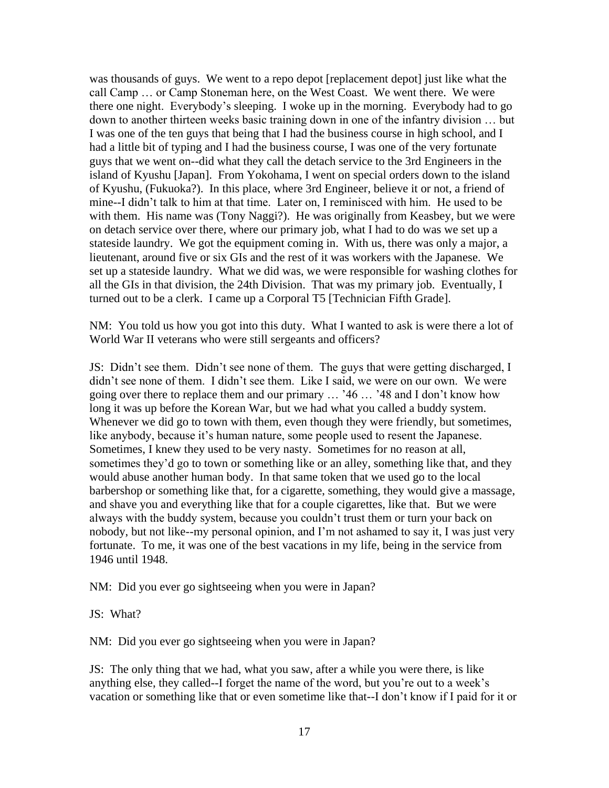was thousands of guys. We went to a repo depot [replacement depot] just like what the call Camp … or Camp Stoneman here, on the West Coast. We went there. We were there one night. Everybody's sleeping. I woke up in the morning. Everybody had to go down to another thirteen weeks basic training down in one of the infantry division … but I was one of the ten guys that being that I had the business course in high school, and I had a little bit of typing and I had the business course, I was one of the very fortunate guys that we went on--did what they call the detach service to the 3rd Engineers in the island of Kyushu [Japan]. From Yokohama, I went on special orders down to the island of Kyushu, (Fukuoka?). In this place, where 3rd Engineer, believe it or not, a friend of mine--I didn't talk to him at that time. Later on, I reminisced with him. He used to be with them. His name was (Tony Naggi?). He was originally from Keasbey, but we were on detach service over there, where our primary job, what I had to do was we set up a stateside laundry. We got the equipment coming in. With us, there was only a major, a lieutenant, around five or six GIs and the rest of it was workers with the Japanese. We set up a stateside laundry. What we did was, we were responsible for washing clothes for all the GIs in that division, the 24th Division. That was my primary job. Eventually, I turned out to be a clerk. I came up a Corporal T5 [Technician Fifth Grade].

NM: You told us how you got into this duty. What I wanted to ask is were there a lot of World War II veterans who were still sergeants and officers?

JS: Didn't see them. Didn't see none of them. The guys that were getting discharged, I didn't see none of them. I didn't see them. Like I said, we were on our own. We were going over there to replace them and our primary … '46 … '48 and I don't know how long it was up before the Korean War, but we had what you called a buddy system. Whenever we did go to town with them, even though they were friendly, but sometimes, like anybody, because it's human nature, some people used to resent the Japanese. Sometimes, I knew they used to be very nasty. Sometimes for no reason at all, sometimes they'd go to town or something like or an alley, something like that, and they would abuse another human body. In that same token that we used go to the local barbershop or something like that, for a cigarette, something, they would give a massage, and shave you and everything like that for a couple cigarettes, like that. But we were always with the buddy system, because you couldn't trust them or turn your back on nobody, but not like--my personal opinion, and I'm not ashamed to say it, I was just very fortunate. To me, it was one of the best vacations in my life, being in the service from 1946 until 1948.

NM: Did you ever go sightseeing when you were in Japan?

JS: What?

NM: Did you ever go sightseeing when you were in Japan?

JS: The only thing that we had, what you saw, after a while you were there, is like anything else, they called--I forget the name of the word, but you're out to a week's vacation or something like that or even sometime like that--I don't know if I paid for it or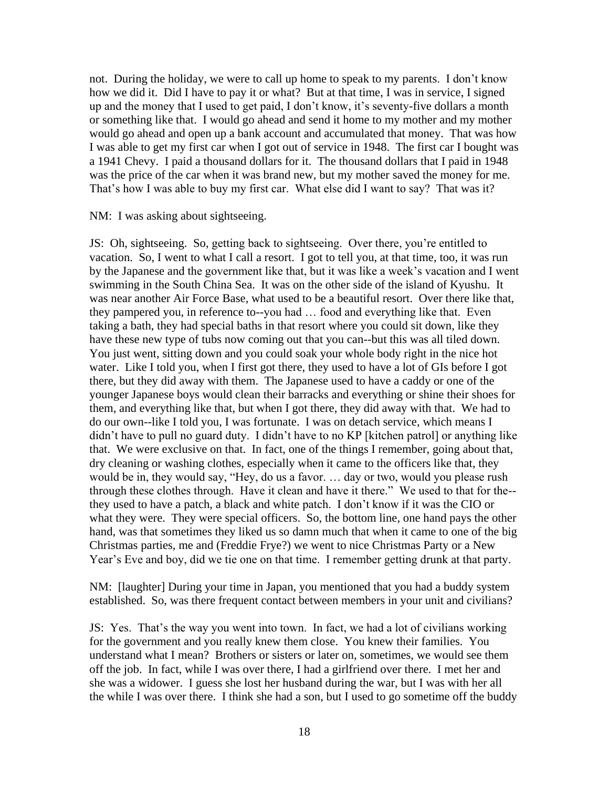not. During the holiday, we were to call up home to speak to my parents. I don't know how we did it. Did I have to pay it or what? But at that time, I was in service, I signed up and the money that I used to get paid, I don't know, it's seventy-five dollars a month or something like that. I would go ahead and send it home to my mother and my mother would go ahead and open up a bank account and accumulated that money. That was how I was able to get my first car when I got out of service in 1948. The first car I bought was a 1941 Chevy. I paid a thousand dollars for it. The thousand dollars that I paid in 1948 was the price of the car when it was brand new, but my mother saved the money for me. That's how I was able to buy my first car. What else did I want to say? That was it?

NM: I was asking about sightseeing.

JS: Oh, sightseeing. So, getting back to sightseeing. Over there, you're entitled to vacation. So, I went to what I call a resort. I got to tell you, at that time, too, it was run by the Japanese and the government like that, but it was like a week's vacation and I went swimming in the South China Sea. It was on the other side of the island of Kyushu. It was near another Air Force Base, what used to be a beautiful resort. Over there like that, they pampered you, in reference to--you had … food and everything like that. Even taking a bath, they had special baths in that resort where you could sit down, like they have these new type of tubs now coming out that you can--but this was all tiled down. You just went, sitting down and you could soak your whole body right in the nice hot water. Like I told you, when I first got there, they used to have a lot of GIs before I got there, but they did away with them. The Japanese used to have a caddy or one of the younger Japanese boys would clean their barracks and everything or shine their shoes for them, and everything like that, but when I got there, they did away with that. We had to do our own--like I told you, I was fortunate. I was on detach service, which means I didn't have to pull no guard duty. I didn't have to no KP [kitchen patrol] or anything like that. We were exclusive on that. In fact, one of the things I remember, going about that, dry cleaning or washing clothes, especially when it came to the officers like that, they would be in, they would say, "Hey, do us a favor. … day or two, would you please rush through these clothes through. Have it clean and have it there." We used to that for the- they used to have a patch, a black and white patch. I don't know if it was the CIO or what they were. They were special officers. So, the bottom line, one hand pays the other hand, was that sometimes they liked us so damn much that when it came to one of the big Christmas parties, me and (Freddie Frye?) we went to nice Christmas Party or a New Year's Eve and boy, did we tie one on that time. I remember getting drunk at that party.

NM: [laughter] During your time in Japan, you mentioned that you had a buddy system established. So, was there frequent contact between members in your unit and civilians?

JS: Yes. That's the way you went into town. In fact, we had a lot of civilians working for the government and you really knew them close. You knew their families. You understand what I mean? Brothers or sisters or later on, sometimes, we would see them off the job. In fact, while I was over there, I had a girlfriend over there. I met her and she was a widower. I guess she lost her husband during the war, but I was with her all the while I was over there. I think she had a son, but I used to go sometime off the buddy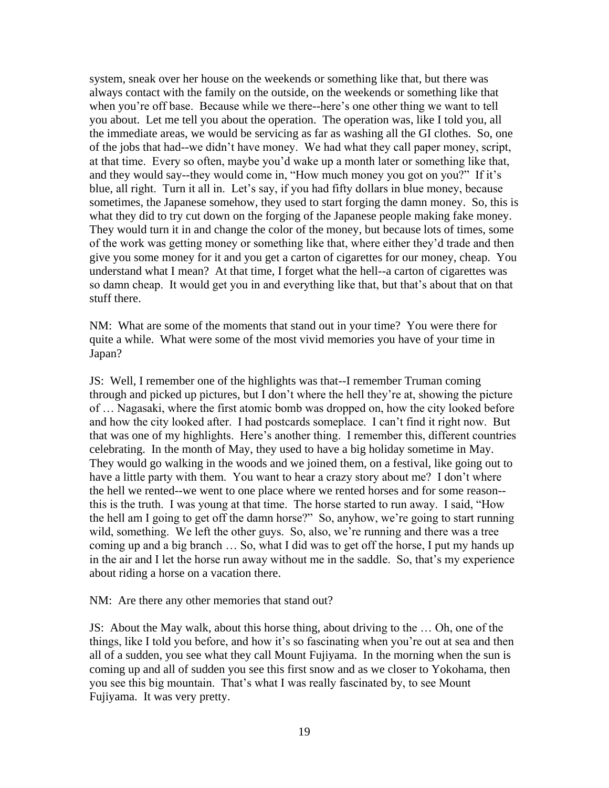system, sneak over her house on the weekends or something like that, but there was always contact with the family on the outside, on the weekends or something like that when you're off base. Because while we there--here's one other thing we want to tell you about. Let me tell you about the operation. The operation was, like I told you, all the immediate areas, we would be servicing as far as washing all the GI clothes. So, one of the jobs that had--we didn't have money. We had what they call paper money, script, at that time. Every so often, maybe you'd wake up a month later or something like that, and they would say--they would come in, "How much money you got on you?" If it's blue, all right. Turn it all in. Let's say, if you had fifty dollars in blue money, because sometimes, the Japanese somehow, they used to start forging the damn money. So, this is what they did to try cut down on the forging of the Japanese people making fake money. They would turn it in and change the color of the money, but because lots of times, some of the work was getting money or something like that, where either they'd trade and then give you some money for it and you get a carton of cigarettes for our money, cheap. You understand what I mean? At that time, I forget what the hell--a carton of cigarettes was so damn cheap. It would get you in and everything like that, but that's about that on that stuff there.

NM: What are some of the moments that stand out in your time? You were there for quite a while. What were some of the most vivid memories you have of your time in Japan?

JS: Well, I remember one of the highlights was that--I remember Truman coming through and picked up pictures, but I don't where the hell they're at, showing the picture of … Nagasaki, where the first atomic bomb was dropped on, how the city looked before and how the city looked after. I had postcards someplace. I can't find it right now. But that was one of my highlights. Here's another thing. I remember this, different countries celebrating. In the month of May, they used to have a big holiday sometime in May. They would go walking in the woods and we joined them, on a festival, like going out to have a little party with them. You want to hear a crazy story about me? I don't where the hell we rented--we went to one place where we rented horses and for some reason- this is the truth. I was young at that time. The horse started to run away. I said, "How the hell am I going to get off the damn horse?" So, anyhow, we're going to start running wild, something. We left the other guys. So, also, we're running and there was a tree coming up and a big branch … So, what I did was to get off the horse, I put my hands up in the air and I let the horse run away without me in the saddle. So, that's my experience about riding a horse on a vacation there.

NM: Are there any other memories that stand out?

JS: About the May walk, about this horse thing, about driving to the … Oh, one of the things, like I told you before, and how it's so fascinating when you're out at sea and then all of a sudden, you see what they call Mount Fujiyama. In the morning when the sun is coming up and all of sudden you see this first snow and as we closer to Yokohama, then you see this big mountain. That's what I was really fascinated by, to see Mount Fujiyama. It was very pretty.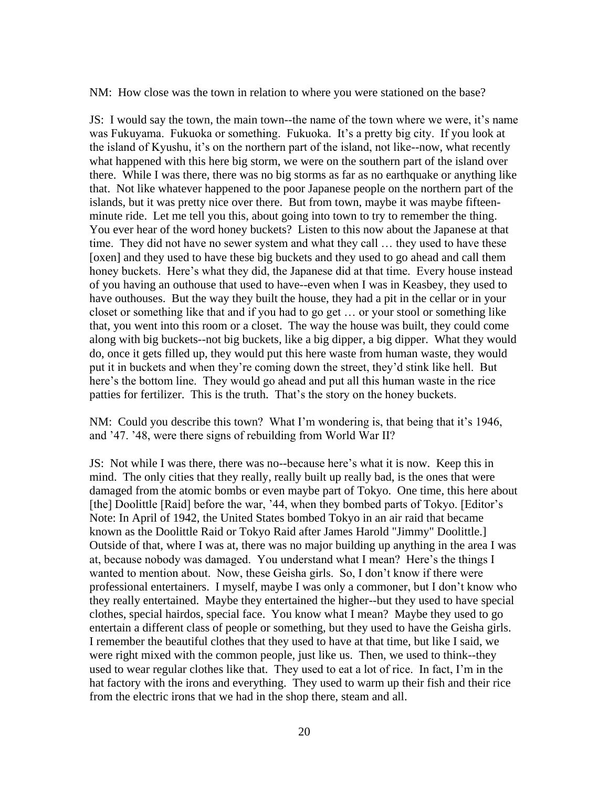NM: How close was the town in relation to where you were stationed on the base?

JS: I would say the town, the main town--the name of the town where we were, it's name was Fukuyama. Fukuoka or something. Fukuoka. It's a pretty big city. If you look at the island of Kyushu, it's on the northern part of the island, not like--now, what recently what happened with this here big storm, we were on the southern part of the island over there. While I was there, there was no big storms as far as no earthquake or anything like that. Not like whatever happened to the poor Japanese people on the northern part of the islands, but it was pretty nice over there. But from town, maybe it was maybe fifteenminute ride. Let me tell you this, about going into town to try to remember the thing. You ever hear of the word honey buckets? Listen to this now about the Japanese at that time. They did not have no sewer system and what they call … they used to have these [oxen] and they used to have these big buckets and they used to go ahead and call them honey buckets. Here's what they did, the Japanese did at that time. Every house instead of you having an outhouse that used to have--even when I was in Keasbey, they used to have outhouses. But the way they built the house, they had a pit in the cellar or in your closet or something like that and if you had to go get … or your stool or something like that, you went into this room or a closet. The way the house was built, they could come along with big buckets--not big buckets, like a big dipper, a big dipper. What they would do, once it gets filled up, they would put this here waste from human waste, they would put it in buckets and when they're coming down the street, they'd stink like hell. But here's the bottom line. They would go ahead and put all this human waste in the rice patties for fertilizer. This is the truth. That's the story on the honey buckets.

NM: Could you describe this town? What I'm wondering is, that being that it's 1946, and '47. '48, were there signs of rebuilding from World War II?

JS: Not while I was there, there was no--because here's what it is now. Keep this in mind. The only cities that they really, really built up really bad, is the ones that were damaged from the atomic bombs or even maybe part of Tokyo. One time, this here about [the] Doolittle [Raid] before the war, '44, when they bombed parts of Tokyo. [Editor's Note: In April of 1942, the United States bombed Tokyo in an air raid that became known as the Doolittle Raid or Tokyo Raid after James Harold "Jimmy" Doolittle.] Outside of that, where I was at, there was no major building up anything in the area I was at, because nobody was damaged. You understand what I mean? Here's the things I wanted to mention about. Now, these Geisha girls. So, I don't know if there were professional entertainers. I myself, maybe I was only a commoner, but I don't know who they really entertained. Maybe they entertained the higher--but they used to have special clothes, special hairdos, special face. You know what I mean? Maybe they used to go entertain a different class of people or something, but they used to have the Geisha girls. I remember the beautiful clothes that they used to have at that time, but like I said, we were right mixed with the common people, just like us. Then, we used to think--they used to wear regular clothes like that. They used to eat a lot of rice. In fact, I'm in the hat factory with the irons and everything. They used to warm up their fish and their rice from the electric irons that we had in the shop there, steam and all.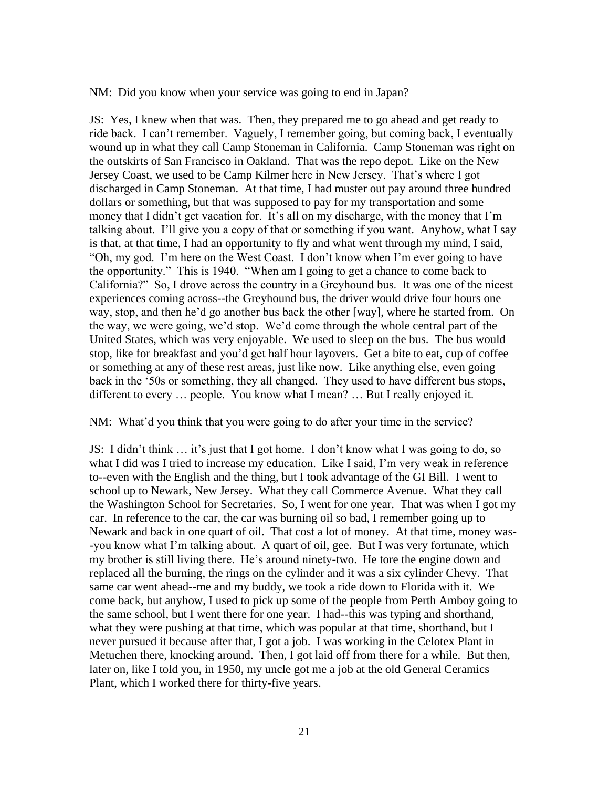NM: Did you know when your service was going to end in Japan?

JS: Yes, I knew when that was. Then, they prepared me to go ahead and get ready to ride back. I can't remember. Vaguely, I remember going, but coming back, I eventually wound up in what they call Camp Stoneman in California. Camp Stoneman was right on the outskirts of San Francisco in Oakland. That was the repo depot. Like on the New Jersey Coast, we used to be Camp Kilmer here in New Jersey. That's where I got discharged in Camp Stoneman. At that time, I had muster out pay around three hundred dollars or something, but that was supposed to pay for my transportation and some money that I didn't get vacation for. It's all on my discharge, with the money that I'm talking about. I'll give you a copy of that or something if you want. Anyhow, what I say is that, at that time, I had an opportunity to fly and what went through my mind, I said, "Oh, my god. I'm here on the West Coast. I don't know when I'm ever going to have the opportunity." This is 1940. "When am I going to get a chance to come back to California?" So, I drove across the country in a Greyhound bus. It was one of the nicest experiences coming across--the Greyhound bus, the driver would drive four hours one way, stop, and then he'd go another bus back the other [way], where he started from. On the way, we were going, we'd stop. We'd come through the whole central part of the United States, which was very enjoyable. We used to sleep on the bus. The bus would stop, like for breakfast and you'd get half hour layovers. Get a bite to eat, cup of coffee or something at any of these rest areas, just like now. Like anything else, even going back in the '50s or something, they all changed. They used to have different bus stops, different to every … people. You know what I mean? … But I really enjoyed it.

#### NM: What'd you think that you were going to do after your time in the service?

JS: I didn't think … it's just that I got home. I don't know what I was going to do, so what I did was I tried to increase my education. Like I said, I'm very weak in reference to--even with the English and the thing, but I took advantage of the GI Bill. I went to school up to Newark, New Jersey. What they call Commerce Avenue. What they call the Washington School for Secretaries. So, I went for one year. That was when I got my car. In reference to the car, the car was burning oil so bad, I remember going up to Newark and back in one quart of oil. That cost a lot of money. At that time, money was- -you know what I'm talking about. A quart of oil, gee. But I was very fortunate, which my brother is still living there. He's around ninety-two. He tore the engine down and replaced all the burning, the rings on the cylinder and it was a six cylinder Chevy. That same car went ahead--me and my buddy, we took a ride down to Florida with it. We come back, but anyhow, I used to pick up some of the people from Perth Amboy going to the same school, but I went there for one year. I had--this was typing and shorthand, what they were pushing at that time, which was popular at that time, shorthand, but I never pursued it because after that, I got a job. I was working in the Celotex Plant in Metuchen there, knocking around. Then, I got laid off from there for a while. But then, later on, like I told you, in 1950, my uncle got me a job at the old General Ceramics Plant, which I worked there for thirty-five years.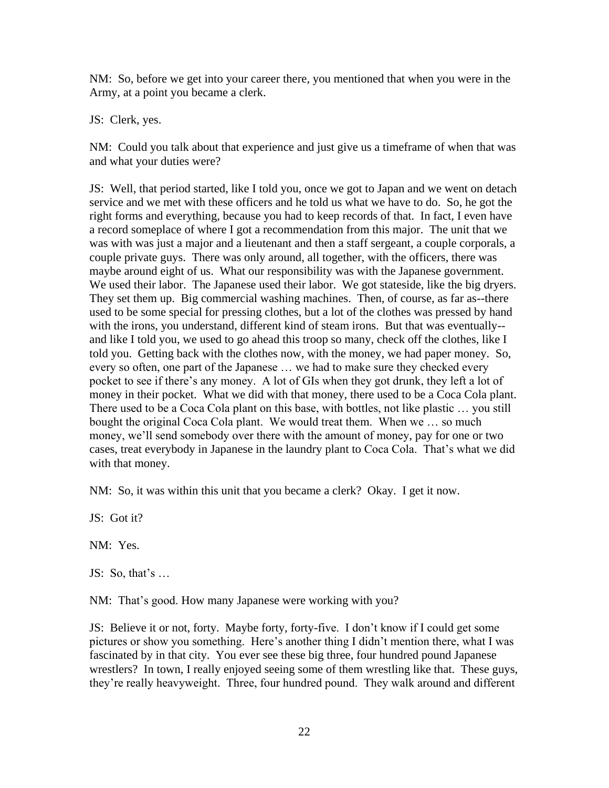NM: So, before we get into your career there, you mentioned that when you were in the Army, at a point you became a clerk.

JS: Clerk, yes.

NM: Could you talk about that experience and just give us a timeframe of when that was and what your duties were?

JS: Well, that period started, like I told you, once we got to Japan and we went on detach service and we met with these officers and he told us what we have to do. So, he got the right forms and everything, because you had to keep records of that. In fact, I even have a record someplace of where I got a recommendation from this major. The unit that we was with was just a major and a lieutenant and then a staff sergeant, a couple corporals, a couple private guys. There was only around, all together, with the officers, there was maybe around eight of us. What our responsibility was with the Japanese government. We used their labor. The Japanese used their labor. We got stateside, like the big dryers. They set them up. Big commercial washing machines. Then, of course, as far as--there used to be some special for pressing clothes, but a lot of the clothes was pressed by hand with the irons, you understand, different kind of steam irons. But that was eventually- and like I told you, we used to go ahead this troop so many, check off the clothes, like I told you. Getting back with the clothes now, with the money, we had paper money. So, every so often, one part of the Japanese … we had to make sure they checked every pocket to see if there's any money. A lot of GIs when they got drunk, they left a lot of money in their pocket. What we did with that money, there used to be a Coca Cola plant. There used to be a Coca Cola plant on this base, with bottles, not like plastic … you still bought the original Coca Cola plant. We would treat them. When we … so much money, we'll send somebody over there with the amount of money, pay for one or two cases, treat everybody in Japanese in the laundry plant to Coca Cola. That's what we did with that money.

NM: So, it was within this unit that you became a clerk? Okay. I get it now.

 $JS:$  Got it?

NM: Yes.

JS: So, that's  $\dots$ 

NM: That's good. How many Japanese were working with you?

JS: Believe it or not, forty. Maybe forty, forty-five. I don't know if I could get some pictures or show you something. Here's another thing I didn't mention there, what I was fascinated by in that city. You ever see these big three, four hundred pound Japanese wrestlers? In town, I really enjoyed seeing some of them wrestling like that. These guys, they're really heavyweight. Three, four hundred pound. They walk around and different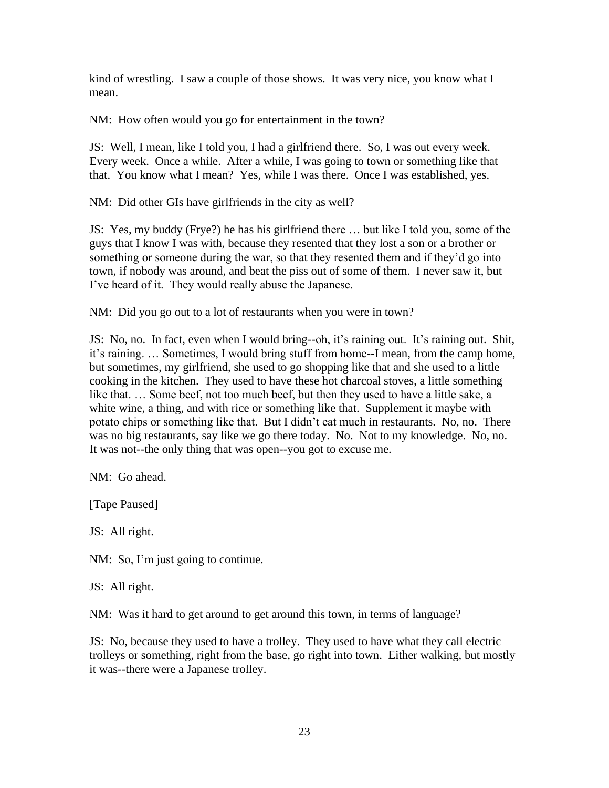kind of wrestling. I saw a couple of those shows. It was very nice, you know what I mean.

NM: How often would you go for entertainment in the town?

JS: Well, I mean, like I told you, I had a girlfriend there. So, I was out every week. Every week. Once a while. After a while, I was going to town or something like that that. You know what I mean? Yes, while I was there. Once I was established, yes.

NM: Did other GIs have girlfriends in the city as well?

JS: Yes, my buddy (Frye?) he has his girlfriend there … but like I told you, some of the guys that I know I was with, because they resented that they lost a son or a brother or something or someone during the war, so that they resented them and if they'd go into town, if nobody was around, and beat the piss out of some of them. I never saw it, but I've heard of it. They would really abuse the Japanese.

NM: Did you go out to a lot of restaurants when you were in town?

JS: No, no. In fact, even when I would bring--oh, it's raining out. It's raining out. Shit, it's raining. … Sometimes, I would bring stuff from home--I mean, from the camp home, but sometimes, my girlfriend, she used to go shopping like that and she used to a little cooking in the kitchen. They used to have these hot charcoal stoves, a little something like that. … Some beef, not too much beef, but then they used to have a little sake, a white wine, a thing, and with rice or something like that. Supplement it maybe with potato chips or something like that. But I didn't eat much in restaurants. No, no. There was no big restaurants, say like we go there today. No. Not to my knowledge. No, no. It was not--the only thing that was open--you got to excuse me.

NM: Go ahead.

[Tape Paused]

JS: All right.

NM: So, I'm just going to continue.

JS: All right.

NM: Was it hard to get around to get around this town, in terms of language?

JS: No, because they used to have a trolley. They used to have what they call electric trolleys or something, right from the base, go right into town. Either walking, but mostly it was--there were a Japanese trolley.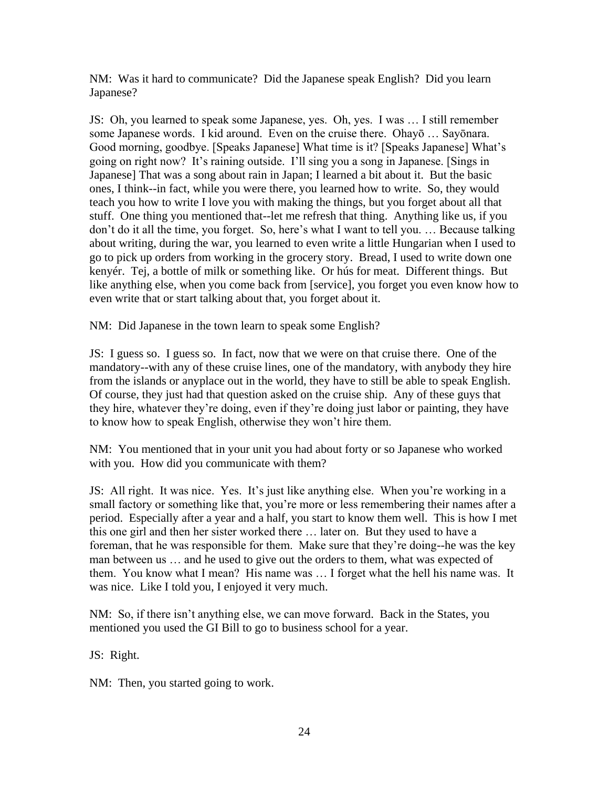NM: Was it hard to communicate? Did the Japanese speak English? Did you learn Japanese?

JS: Oh, you learned to speak some Japanese, yes. Oh, yes. I was … I still remember some Japanese words. I kid around. Even on the cruise there. Ohayō … Sayōnara. Good morning, goodbye. [Speaks Japanese] What time is it? [Speaks Japanese] What's going on right now? It's raining outside. I'll sing you a song in Japanese. [Sings in Japanese] That was a song about rain in Japan; I learned a bit about it. But the basic ones, I think--in fact, while you were there, you learned how to write. So, they would teach you how to write I love you with making the things, but you forget about all that stuff. One thing you mentioned that--let me refresh that thing. Anything like us, if you don't do it all the time, you forget. So, here's what I want to tell you. … Because talking about writing, during the war, you learned to even write a little Hungarian when I used to go to pick up orders from working in the grocery story. Bread, I used to write down one kenyér. Tej, a bottle of milk or something like. Or hús for meat. Different things. But like anything else, when you come back from [service], you forget you even know how to even write that or start talking about that, you forget about it.

NM: Did Japanese in the town learn to speak some English?

JS: I guess so. I guess so. In fact, now that we were on that cruise there. One of the mandatory--with any of these cruise lines, one of the mandatory, with anybody they hire from the islands or anyplace out in the world, they have to still be able to speak English. Of course, they just had that question asked on the cruise ship. Any of these guys that they hire, whatever they're doing, even if they're doing just labor or painting, they have to know how to speak English, otherwise they won't hire them.

NM: You mentioned that in your unit you had about forty or so Japanese who worked with you. How did you communicate with them?

JS: All right. It was nice. Yes. It's just like anything else. When you're working in a small factory or something like that, you're more or less remembering their names after a period. Especially after a year and a half, you start to know them well. This is how I met this one girl and then her sister worked there … later on. But they used to have a foreman, that he was responsible for them. Make sure that they're doing--he was the key man between us … and he used to give out the orders to them, what was expected of them. You know what I mean? His name was … I forget what the hell his name was. It was nice. Like I told you, I enjoyed it very much.

NM: So, if there isn't anything else, we can move forward. Back in the States, you mentioned you used the GI Bill to go to business school for a year.

JS: Right.

NM: Then, you started going to work.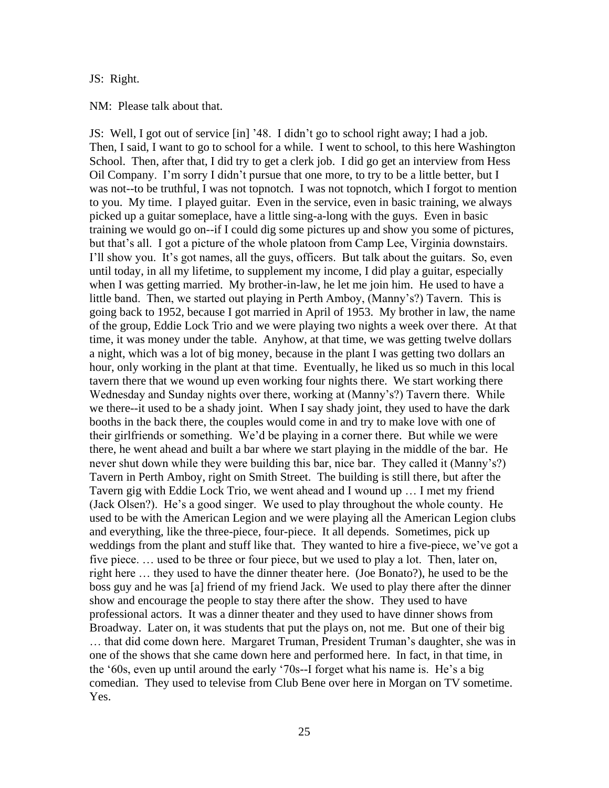### JS: Right.

#### NM: Please talk about that.

JS: Well, I got out of service [in] '48. I didn't go to school right away; I had a job. Then, I said, I want to go to school for a while. I went to school, to this here Washington School. Then, after that, I did try to get a clerk job. I did go get an interview from Hess Oil Company. I'm sorry I didn't pursue that one more, to try to be a little better, but I was not--to be truthful, I was not topnotch. I was not topnotch, which I forgot to mention to you. My time. I played guitar. Even in the service, even in basic training, we always picked up a guitar someplace, have a little sing-a-long with the guys. Even in basic training we would go on--if I could dig some pictures up and show you some of pictures, but that's all. I got a picture of the whole platoon from Camp Lee, Virginia downstairs. I'll show you. It's got names, all the guys, officers. But talk about the guitars. So, even until today, in all my lifetime, to supplement my income, I did play a guitar, especially when I was getting married. My brother-in-law, he let me join him. He used to have a little band. Then, we started out playing in Perth Amboy, (Manny's?) Tavern. This is going back to 1952, because I got married in April of 1953. My brother in law, the name of the group, Eddie Lock Trio and we were playing two nights a week over there. At that time, it was money under the table. Anyhow, at that time, we was getting twelve dollars a night, which was a lot of big money, because in the plant I was getting two dollars an hour, only working in the plant at that time. Eventually, he liked us so much in this local tavern there that we wound up even working four nights there. We start working there Wednesday and Sunday nights over there, working at (Manny's?) Tavern there. While we there--it used to be a shady joint. When I say shady joint, they used to have the dark booths in the back there, the couples would come in and try to make love with one of their girlfriends or something. We'd be playing in a corner there. But while we were there, he went ahead and built a bar where we start playing in the middle of the bar. He never shut down while they were building this bar, nice bar. They called it (Manny's?) Tavern in Perth Amboy, right on Smith Street. The building is still there, but after the Tavern gig with Eddie Lock Trio, we went ahead and I wound up … I met my friend (Jack Olsen?). He's a good singer. We used to play throughout the whole county. He used to be with the American Legion and we were playing all the American Legion clubs and everything, like the three-piece, four-piece. It all depends. Sometimes, pick up weddings from the plant and stuff like that. They wanted to hire a five-piece, we've got a five piece. … used to be three or four piece, but we used to play a lot. Then, later on, right here … they used to have the dinner theater here. (Joe Bonato?), he used to be the boss guy and he was [a] friend of my friend Jack. We used to play there after the dinner show and encourage the people to stay there after the show. They used to have professional actors. It was a dinner theater and they used to have dinner shows from Broadway. Later on, it was students that put the plays on, not me. But one of their big … that did come down here. Margaret Truman, President Truman's daughter, she was in one of the shows that she came down here and performed here. In fact, in that time, in the '60s, even up until around the early '70s--I forget what his name is. He's a big comedian. They used to televise from Club Bene over here in Morgan on TV sometime. Yes.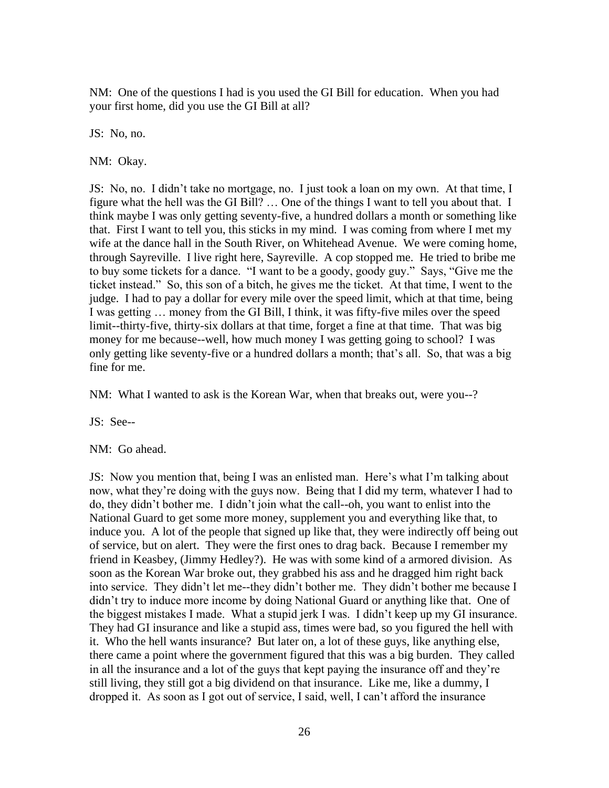NM: One of the questions I had is you used the GI Bill for education. When you had your first home, did you use the GI Bill at all?

JS: No, no.

NM: Okay.

JS: No, no. I didn't take no mortgage, no. I just took a loan on my own. At that time, I figure what the hell was the GI Bill? … One of the things I want to tell you about that. I think maybe I was only getting seventy-five, a hundred dollars a month or something like that. First I want to tell you, this sticks in my mind. I was coming from where I met my wife at the dance hall in the South River, on Whitehead Avenue. We were coming home, through Sayreville. I live right here, Sayreville. A cop stopped me. He tried to bribe me to buy some tickets for a dance. "I want to be a goody, goody guy." Says, "Give me the ticket instead." So, this son of a bitch, he gives me the ticket. At that time, I went to the judge. I had to pay a dollar for every mile over the speed limit, which at that time, being I was getting … money from the GI Bill, I think, it was fifty-five miles over the speed limit--thirty-five, thirty-six dollars at that time, forget a fine at that time. That was big money for me because--well, how much money I was getting going to school? I was only getting like seventy-five or a hundred dollars a month; that's all. So, that was a big fine for me.

NM: What I wanted to ask is the Korean War, when that breaks out, were you--?

JS: See--

NM: Go ahead.

JS: Now you mention that, being I was an enlisted man. Here's what I'm talking about now, what they're doing with the guys now. Being that I did my term, whatever I had to do, they didn't bother me. I didn't join what the call--oh, you want to enlist into the National Guard to get some more money, supplement you and everything like that, to induce you. A lot of the people that signed up like that, they were indirectly off being out of service, but on alert. They were the first ones to drag back. Because I remember my friend in Keasbey, (Jimmy Hedley?). He was with some kind of a armored division. As soon as the Korean War broke out, they grabbed his ass and he dragged him right back into service. They didn't let me--they didn't bother me. They didn't bother me because I didn't try to induce more income by doing National Guard or anything like that. One of the biggest mistakes I made. What a stupid jerk I was. I didn't keep up my GI insurance. They had GI insurance and like a stupid ass, times were bad, so you figured the hell with it. Who the hell wants insurance? But later on, a lot of these guys, like anything else, there came a point where the government figured that this was a big burden. They called in all the insurance and a lot of the guys that kept paying the insurance off and they're still living, they still got a big dividend on that insurance. Like me, like a dummy, I dropped it. As soon as I got out of service, I said, well, I can't afford the insurance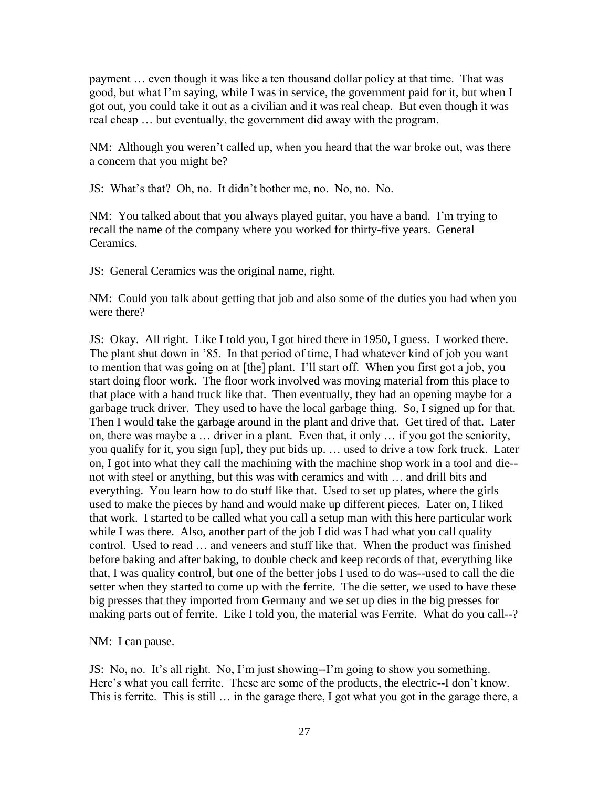payment … even though it was like a ten thousand dollar policy at that time. That was good, but what I'm saying, while I was in service, the government paid for it, but when I got out, you could take it out as a civilian and it was real cheap. But even though it was real cheap … but eventually, the government did away with the program.

NM: Although you weren't called up, when you heard that the war broke out, was there a concern that you might be?

JS: What's that? Oh, no. It didn't bother me, no. No, no. No.

NM: You talked about that you always played guitar, you have a band. I'm trying to recall the name of the company where you worked for thirty-five years. General Ceramics.

JS: General Ceramics was the original name, right.

NM: Could you talk about getting that job and also some of the duties you had when you were there?

JS: Okay. All right. Like I told you, I got hired there in 1950, I guess. I worked there. The plant shut down in '85. In that period of time, I had whatever kind of job you want to mention that was going on at [the] plant. I'll start off. When you first got a job, you start doing floor work. The floor work involved was moving material from this place to that place with a hand truck like that. Then eventually, they had an opening maybe for a garbage truck driver. They used to have the local garbage thing. So, I signed up for that. Then I would take the garbage around in the plant and drive that. Get tired of that. Later on, there was maybe a … driver in a plant. Even that, it only … if you got the seniority, you qualify for it, you sign [up], they put bids up. … used to drive a tow fork truck. Later on, I got into what they call the machining with the machine shop work in a tool and die- not with steel or anything, but this was with ceramics and with … and drill bits and everything. You learn how to do stuff like that. Used to set up plates, where the girls used to make the pieces by hand and would make up different pieces. Later on, I liked that work. I started to be called what you call a setup man with this here particular work while I was there. Also, another part of the job I did was I had what you call quality control. Used to read … and veneers and stuff like that. When the product was finished before baking and after baking, to double check and keep records of that, everything like that, I was quality control, but one of the better jobs I used to do was--used to call the die setter when they started to come up with the ferrite. The die setter, we used to have these big presses that they imported from Germany and we set up dies in the big presses for making parts out of ferrite. Like I told you, the material was Ferrite. What do you call--?

NM: I can pause.

JS: No, no. It's all right. No, I'm just showing--I'm going to show you something. Here's what you call ferrite. These are some of the products, the electric--I don't know. This is ferrite. This is still … in the garage there, I got what you got in the garage there, a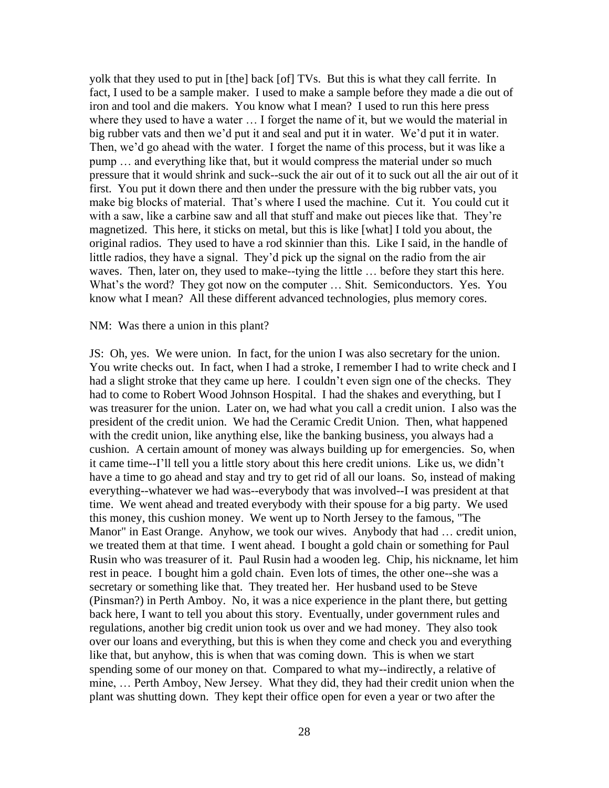yolk that they used to put in [the] back [of] TVs. But this is what they call ferrite. In fact, I used to be a sample maker. I used to make a sample before they made a die out of iron and tool and die makers. You know what I mean? I used to run this here press where they used to have a water ... I forget the name of it, but we would the material in big rubber vats and then we'd put it and seal and put it in water. We'd put it in water. Then, we'd go ahead with the water. I forget the name of this process, but it was like a pump … and everything like that, but it would compress the material under so much pressure that it would shrink and suck--suck the air out of it to suck out all the air out of it first. You put it down there and then under the pressure with the big rubber vats, you make big blocks of material. That's where I used the machine. Cut it. You could cut it with a saw, like a carbine saw and all that stuff and make out pieces like that. They're magnetized. This here, it sticks on metal, but this is like [what] I told you about, the original radios. They used to have a rod skinnier than this. Like I said, in the handle of little radios, they have a signal. They'd pick up the signal on the radio from the air waves. Then, later on, they used to make--tying the little … before they start this here. What's the word? They got now on the computer … Shit. Semiconductors. Yes. You know what I mean? All these different advanced technologies, plus memory cores.

#### NM: Was there a union in this plant?

JS: Oh, yes. We were union. In fact, for the union I was also secretary for the union. You write checks out. In fact, when I had a stroke, I remember I had to write check and I had a slight stroke that they came up here. I couldn't even sign one of the checks. They had to come to Robert Wood Johnson Hospital. I had the shakes and everything, but I was treasurer for the union. Later on, we had what you call a credit union. I also was the president of the credit union. We had the Ceramic Credit Union. Then, what happened with the credit union, like anything else, like the banking business, you always had a cushion. A certain amount of money was always building up for emergencies. So, when it came time--I'll tell you a little story about this here credit unions. Like us, we didn't have a time to go ahead and stay and try to get rid of all our loans. So, instead of making everything--whatever we had was--everybody that was involved--I was president at that time. We went ahead and treated everybody with their spouse for a big party. We used this money, this cushion money. We went up to North Jersey to the famous, "The Manor" in East Orange. Anyhow, we took our wives. Anybody that had … credit union, we treated them at that time. I went ahead. I bought a gold chain or something for Paul Rusin who was treasurer of it. Paul Rusin had a wooden leg. Chip, his nickname, let him rest in peace. I bought him a gold chain. Even lots of times, the other one--she was a secretary or something like that. They treated her. Her husband used to be Steve (Pinsman?) in Perth Amboy. No, it was a nice experience in the plant there, but getting back here, I want to tell you about this story. Eventually, under government rules and regulations, another big credit union took us over and we had money. They also took over our loans and everything, but this is when they come and check you and everything like that, but anyhow, this is when that was coming down. This is when we start spending some of our money on that. Compared to what my--indirectly, a relative of mine, … Perth Amboy, New Jersey. What they did, they had their credit union when the plant was shutting down. They kept their office open for even a year or two after the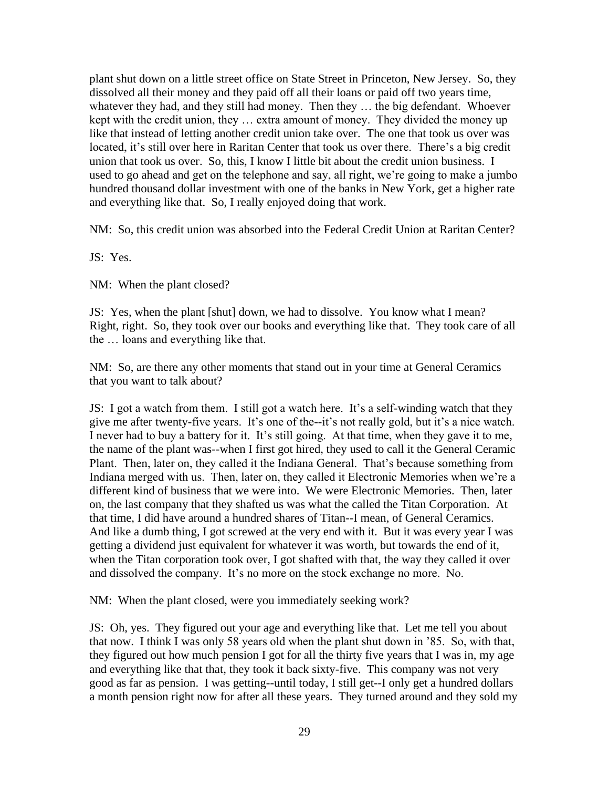plant shut down on a little street office on State Street in Princeton, New Jersey. So, they dissolved all their money and they paid off all their loans or paid off two years time, whatever they had, and they still had money. Then they … the big defendant. Whoever kept with the credit union, they … extra amount of money. They divided the money up like that instead of letting another credit union take over. The one that took us over was located, it's still over here in Raritan Center that took us over there. There's a big credit union that took us over. So, this, I know I little bit about the credit union business. I used to go ahead and get on the telephone and say, all right, we're going to make a jumbo hundred thousand dollar investment with one of the banks in New York, get a higher rate and everything like that. So, I really enjoyed doing that work.

NM: So, this credit union was absorbed into the Federal Credit Union at Raritan Center?

JS: Yes.

NM: When the plant closed?

JS: Yes, when the plant [shut] down, we had to dissolve. You know what I mean? Right, right. So, they took over our books and everything like that. They took care of all the … loans and everything like that.

NM: So, are there any other moments that stand out in your time at General Ceramics that you want to talk about?

JS: I got a watch from them. I still got a watch here. It's a self-winding watch that they give me after twenty-five years. It's one of the--it's not really gold, but it's a nice watch. I never had to buy a battery for it. It's still going. At that time, when they gave it to me, the name of the plant was--when I first got hired, they used to call it the General Ceramic Plant. Then, later on, they called it the Indiana General. That's because something from Indiana merged with us. Then, later on, they called it Electronic Memories when we're a different kind of business that we were into. We were Electronic Memories. Then, later on, the last company that they shafted us was what the called the Titan Corporation. At that time, I did have around a hundred shares of Titan--I mean, of General Ceramics. And like a dumb thing, I got screwed at the very end with it. But it was every year I was getting a dividend just equivalent for whatever it was worth, but towards the end of it, when the Titan corporation took over, I got shafted with that, the way they called it over and dissolved the company. It's no more on the stock exchange no more. No.

NM: When the plant closed, were you immediately seeking work?

JS: Oh, yes. They figured out your age and everything like that. Let me tell you about that now. I think I was only 58 years old when the plant shut down in '85. So, with that, they figured out how much pension I got for all the thirty five years that I was in, my age and everything like that that, they took it back sixty-five. This company was not very good as far as pension. I was getting--until today, I still get--I only get a hundred dollars a month pension right now for after all these years. They turned around and they sold my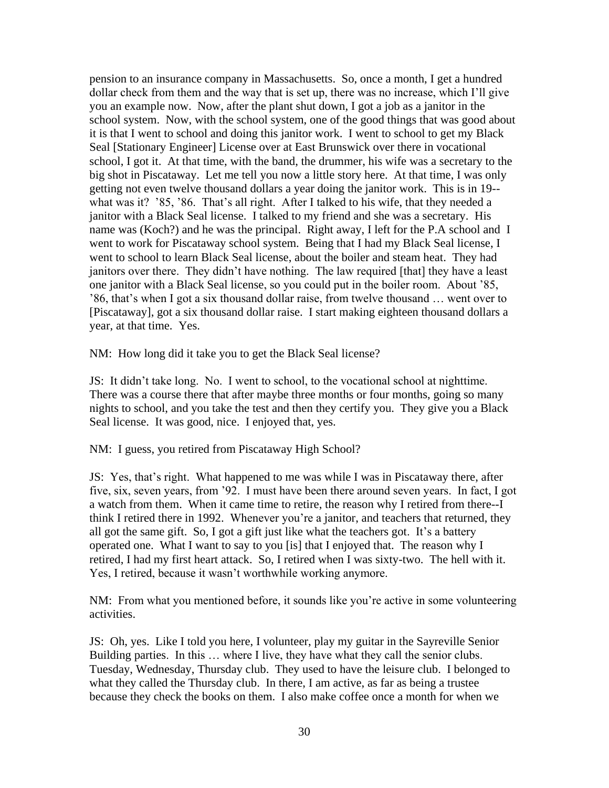pension to an insurance company in Massachusetts. So, once a month, I get a hundred dollar check from them and the way that is set up, there was no increase, which I'll give you an example now. Now, after the plant shut down, I got a job as a janitor in the school system. Now, with the school system, one of the good things that was good about it is that I went to school and doing this janitor work. I went to school to get my Black Seal [Stationary Engineer] License over at East Brunswick over there in vocational school, I got it. At that time, with the band, the drummer, his wife was a secretary to the big shot in Piscataway. Let me tell you now a little story here. At that time, I was only getting not even twelve thousand dollars a year doing the janitor work. This is in 19- what was it? '85, '86. That's all right. After I talked to his wife, that they needed a janitor with a Black Seal license. I talked to my friend and she was a secretary. His name was (Koch?) and he was the principal. Right away, I left for the P.A school and I went to work for Piscataway school system. Being that I had my Black Seal license, I went to school to learn Black Seal license, about the boiler and steam heat. They had janitors over there. They didn't have nothing. The law required [that] they have a least one janitor with a Black Seal license, so you could put in the boiler room. About '85, '86, that's when I got a six thousand dollar raise, from twelve thousand … went over to [Piscataway], got a six thousand dollar raise. I start making eighteen thousand dollars a year, at that time. Yes.

NM: How long did it take you to get the Black Seal license?

JS: It didn't take long. No. I went to school, to the vocational school at nighttime. There was a course there that after maybe three months or four months, going so many nights to school, and you take the test and then they certify you. They give you a Black Seal license. It was good, nice. I enjoyed that, yes.

NM: I guess, you retired from Piscataway High School?

JS: Yes, that's right. What happened to me was while I was in Piscataway there, after five, six, seven years, from '92. I must have been there around seven years. In fact, I got a watch from them. When it came time to retire, the reason why I retired from there--I think I retired there in 1992. Whenever you're a janitor, and teachers that returned, they all got the same gift. So, I got a gift just like what the teachers got. It's a battery operated one. What I want to say to you [is] that I enjoyed that. The reason why I retired, I had my first heart attack. So, I retired when I was sixty-two. The hell with it. Yes, I retired, because it wasn't worthwhile working anymore.

NM: From what you mentioned before, it sounds like you're active in some volunteering activities.

JS: Oh, yes. Like I told you here, I volunteer, play my guitar in the Sayreville Senior Building parties. In this … where I live, they have what they call the senior clubs. Tuesday, Wednesday, Thursday club. They used to have the leisure club. I belonged to what they called the Thursday club. In there, I am active, as far as being a trustee because they check the books on them. I also make coffee once a month for when we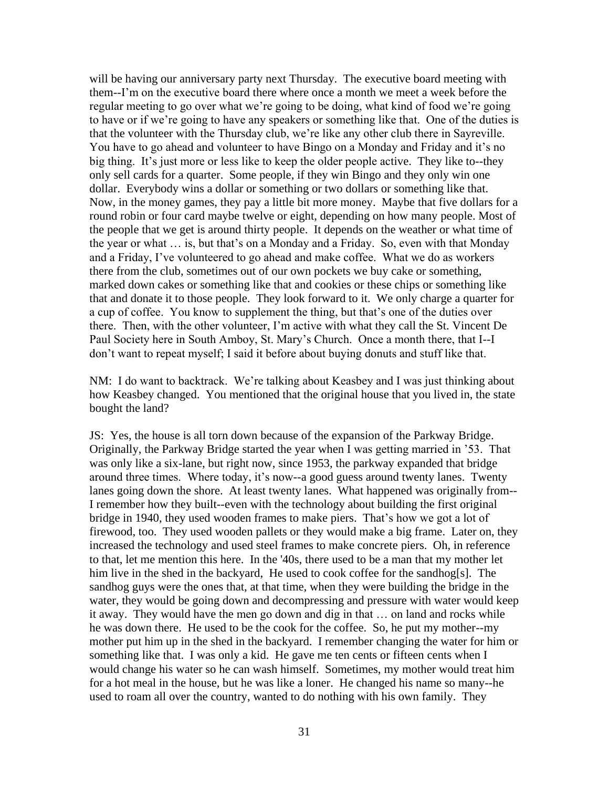will be having our anniversary party next Thursday. The executive board meeting with them--I'm on the executive board there where once a month we meet a week before the regular meeting to go over what we're going to be doing, what kind of food we're going to have or if we're going to have any speakers or something like that. One of the duties is that the volunteer with the Thursday club, we're like any other club there in Sayreville. You have to go ahead and volunteer to have Bingo on a Monday and Friday and it's no big thing. It's just more or less like to keep the older people active. They like to--they only sell cards for a quarter. Some people, if they win Bingo and they only win one dollar. Everybody wins a dollar or something or two dollars or something like that. Now, in the money games, they pay a little bit more money. Maybe that five dollars for a round robin or four card maybe twelve or eight, depending on how many people. Most of the people that we get is around thirty people. It depends on the weather or what time of the year or what … is, but that's on a Monday and a Friday. So, even with that Monday and a Friday, I've volunteered to go ahead and make coffee. What we do as workers there from the club, sometimes out of our own pockets we buy cake or something, marked down cakes or something like that and cookies or these chips or something like that and donate it to those people. They look forward to it. We only charge a quarter for a cup of coffee. You know to supplement the thing, but that's one of the duties over there. Then, with the other volunteer, I'm active with what they call the St. Vincent De Paul Society here in South Amboy, St. Mary's Church. Once a month there, that I--I don't want to repeat myself; I said it before about buying donuts and stuff like that.

NM: I do want to backtrack. We're talking about Keasbey and I was just thinking about how Keasbey changed. You mentioned that the original house that you lived in, the state bought the land?

JS: Yes, the house is all torn down because of the expansion of the Parkway Bridge. Originally, the Parkway Bridge started the year when I was getting married in '53. That was only like a six-lane, but right now, since 1953, the parkway expanded that bridge around three times. Where today, it's now--a good guess around twenty lanes. Twenty lanes going down the shore. At least twenty lanes. What happened was originally from-- I remember how they built--even with the technology about building the first original bridge in 1940, they used wooden frames to make piers. That's how we got a lot of firewood, too. They used wooden pallets or they would make a big frame. Later on, they increased the technology and used steel frames to make concrete piers. Oh, in reference to that, let me mention this here. In the '40s, there used to be a man that my mother let him live in the shed in the backyard, He used to cook coffee for the sandhog[s]. The sandhog guys were the ones that, at that time, when they were building the bridge in the water, they would be going down and decompressing and pressure with water would keep it away. They would have the men go down and dig in that … on land and rocks while he was down there. He used to be the cook for the coffee. So, he put my mother--my mother put him up in the shed in the backyard. I remember changing the water for him or something like that. I was only a kid. He gave me ten cents or fifteen cents when I would change his water so he can wash himself. Sometimes, my mother would treat him for a hot meal in the house, but he was like a loner. He changed his name so many--he used to roam all over the country, wanted to do nothing with his own family. They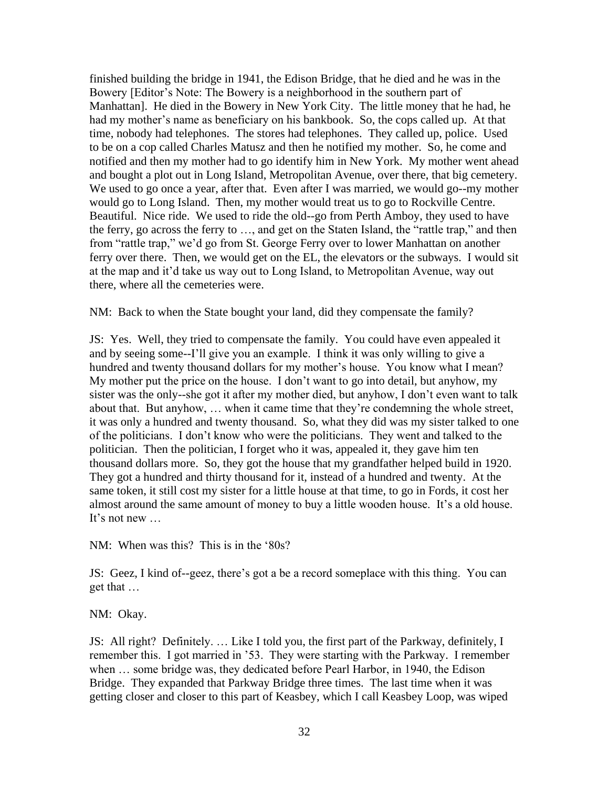finished building the bridge in 1941, the Edison Bridge, that he died and he was in the Bowery [Editor's Note: The Bowery is a neighborhood in the southern part of Manhattan]. He died in the Bowery in New York City. The little money that he had, he had my mother's name as beneficiary on his bankbook. So, the cops called up. At that time, nobody had telephones. The stores had telephones. They called up, police. Used to be on a cop called Charles Matusz and then he notified my mother. So, he come and notified and then my mother had to go identify him in New York. My mother went ahead and bought a plot out in Long Island, Metropolitan Avenue, over there, that big cemetery. We used to go once a year, after that. Even after I was married, we would go--my mother would go to Long Island. Then, my mother would treat us to go to Rockville Centre. Beautiful. Nice ride. We used to ride the old--go from Perth Amboy, they used to have the ferry, go across the ferry to …, and get on the Staten Island, the "rattle trap," and then from "rattle trap," we'd go from St. George Ferry over to lower Manhattan on another ferry over there. Then, we would get on the EL, the elevators or the subways. I would sit at the map and it'd take us way out to Long Island, to Metropolitan Avenue, way out there, where all the cemeteries were.

NM: Back to when the State bought your land, did they compensate the family?

JS: Yes. Well, they tried to compensate the family. You could have even appealed it and by seeing some--I'll give you an example. I think it was only willing to give a hundred and twenty thousand dollars for my mother's house. You know what I mean? My mother put the price on the house. I don't want to go into detail, but anyhow, my sister was the only--she got it after my mother died, but anyhow, I don't even want to talk about that. But anyhow, … when it came time that they're condemning the whole street, it was only a hundred and twenty thousand. So, what they did was my sister talked to one of the politicians. I don't know who were the politicians. They went and talked to the politician. Then the politician, I forget who it was, appealed it, they gave him ten thousand dollars more. So, they got the house that my grandfather helped build in 1920. They got a hundred and thirty thousand for it, instead of a hundred and twenty. At the same token, it still cost my sister for a little house at that time, to go in Fords, it cost her almost around the same amount of money to buy a little wooden house. It's a old house. It's not new ...

NM: When was this? This is in the '80s?

JS: Geez, I kind of--geez, there's got a be a record someplace with this thing. You can get that …

NM: Okay.

JS: All right? Definitely. … Like I told you, the first part of the Parkway, definitely, I remember this. I got married in '53. They were starting with the Parkway. I remember when … some bridge was, they dedicated before Pearl Harbor, in 1940, the Edison Bridge. They expanded that Parkway Bridge three times. The last time when it was getting closer and closer to this part of Keasbey, which I call Keasbey Loop, was wiped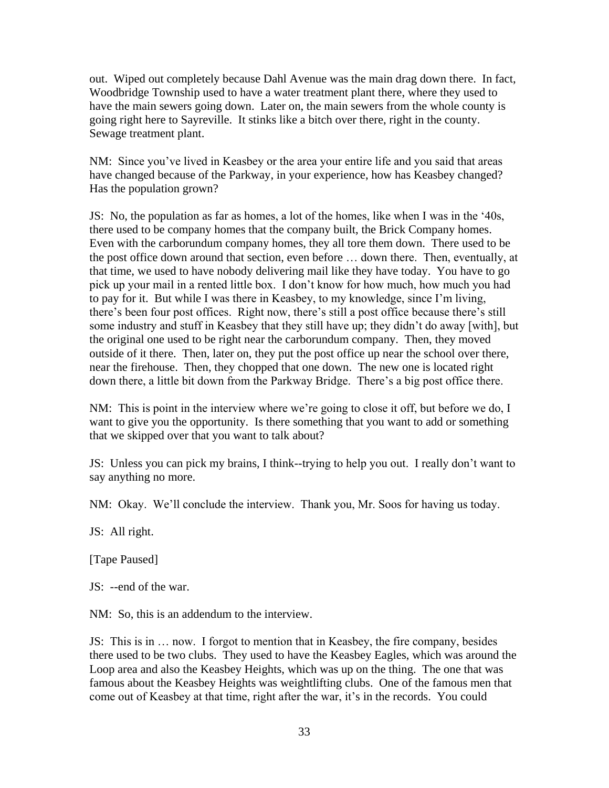out. Wiped out completely because Dahl Avenue was the main drag down there. In fact, Woodbridge Township used to have a water treatment plant there, where they used to have the main sewers going down. Later on, the main sewers from the whole county is going right here to Sayreville. It stinks like a bitch over there, right in the county. Sewage treatment plant.

NM: Since you've lived in Keasbey or the area your entire life and you said that areas have changed because of the Parkway, in your experience, how has Keasbey changed? Has the population grown?

JS: No, the population as far as homes, a lot of the homes, like when I was in the '40s, there used to be company homes that the company built, the Brick Company homes. Even with the carborundum company homes, they all tore them down. There used to be the post office down around that section, even before … down there. Then, eventually, at that time, we used to have nobody delivering mail like they have today. You have to go pick up your mail in a rented little box. I don't know for how much, how much you had to pay for it. But while I was there in Keasbey, to my knowledge, since I'm living, there's been four post offices. Right now, there's still a post office because there's still some industry and stuff in Keasbey that they still have up; they didn't do away [with], but the original one used to be right near the carborundum company. Then, they moved outside of it there. Then, later on, they put the post office up near the school over there, near the firehouse. Then, they chopped that one down. The new one is located right down there, a little bit down from the Parkway Bridge. There's a big post office there.

NM: This is point in the interview where we're going to close it off, but before we do, I want to give you the opportunity. Is there something that you want to add or something that we skipped over that you want to talk about?

JS: Unless you can pick my brains, I think--trying to help you out. I really don't want to say anything no more.

NM: Okay. We'll conclude the interview. Thank you, Mr. Soos for having us today.

JS: All right.

[Tape Paused]

JS: --end of the war.

NM: So, this is an addendum to the interview.

JS: This is in … now. I forgot to mention that in Keasbey, the fire company, besides there used to be two clubs. They used to have the Keasbey Eagles, which was around the Loop area and also the Keasbey Heights, which was up on the thing. The one that was famous about the Keasbey Heights was weightlifting clubs. One of the famous men that come out of Keasbey at that time, right after the war, it's in the records. You could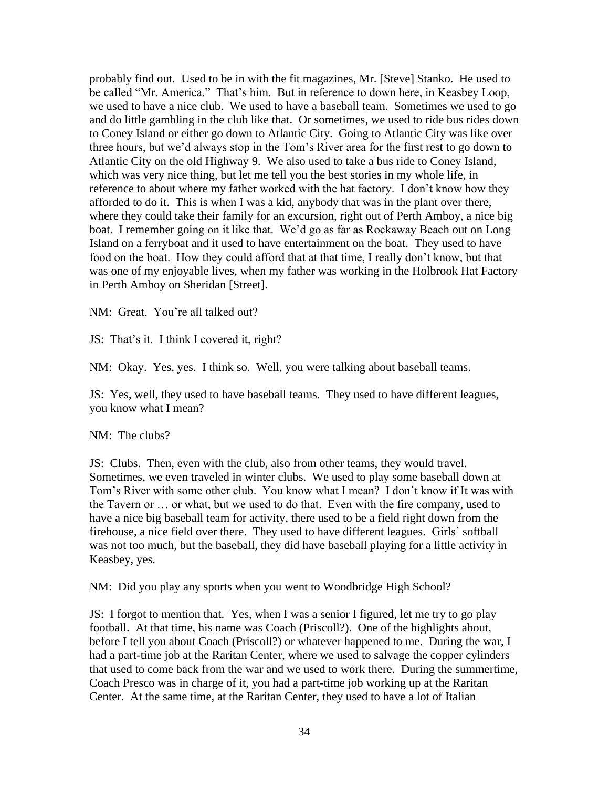probably find out. Used to be in with the fit magazines, Mr. [Steve] Stanko. He used to be called "Mr. America." That's him. But in reference to down here, in Keasbey Loop, we used to have a nice club. We used to have a baseball team. Sometimes we used to go and do little gambling in the club like that. Or sometimes, we used to ride bus rides down to Coney Island or either go down to Atlantic City. Going to Atlantic City was like over three hours, but we'd always stop in the Tom's River area for the first rest to go down to Atlantic City on the old Highway 9. We also used to take a bus ride to Coney Island, which was very nice thing, but let me tell you the best stories in my whole life, in reference to about where my father worked with the hat factory. I don't know how they afforded to do it. This is when I was a kid, anybody that was in the plant over there, where they could take their family for an excursion, right out of Perth Amboy, a nice big boat. I remember going on it like that. We'd go as far as Rockaway Beach out on Long Island on a ferryboat and it used to have entertainment on the boat. They used to have food on the boat. How they could afford that at that time, I really don't know, but that was one of my enjoyable lives, when my father was working in the Holbrook Hat Factory in Perth Amboy on Sheridan [Street].

NM: Great. You're all talked out?

JS: That's it. I think I covered it, right?

NM: Okay. Yes, yes. I think so. Well, you were talking about baseball teams.

JS: Yes, well, they used to have baseball teams. They used to have different leagues, you know what I mean?

NM: The clubs?

JS: Clubs. Then, even with the club, also from other teams, they would travel. Sometimes, we even traveled in winter clubs. We used to play some baseball down at Tom's River with some other club. You know what I mean? I don't know if It was with the Tavern or … or what, but we used to do that. Even with the fire company, used to have a nice big baseball team for activity, there used to be a field right down from the firehouse, a nice field over there. They used to have different leagues. Girls' softball was not too much, but the baseball, they did have baseball playing for a little activity in Keasbey, yes.

NM: Did you play any sports when you went to Woodbridge High School?

JS: I forgot to mention that. Yes, when I was a senior I figured, let me try to go play football. At that time, his name was Coach (Priscoll?). One of the highlights about, before I tell you about Coach (Priscoll?) or whatever happened to me. During the war, I had a part-time job at the Raritan Center, where we used to salvage the copper cylinders that used to come back from the war and we used to work there. During the summertime, Coach Presco was in charge of it, you had a part-time job working up at the Raritan Center. At the same time, at the Raritan Center, they used to have a lot of Italian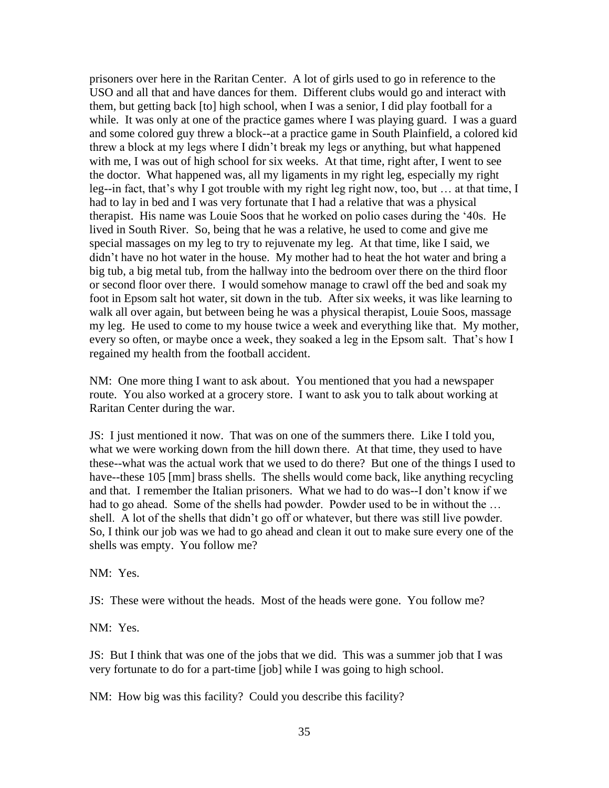prisoners over here in the Raritan Center. A lot of girls used to go in reference to the USO and all that and have dances for them. Different clubs would go and interact with them, but getting back [to] high school, when I was a senior, I did play football for a while. It was only at one of the practice games where I was playing guard. I was a guard and some colored guy threw a block--at a practice game in South Plainfield, a colored kid threw a block at my legs where I didn't break my legs or anything, but what happened with me, I was out of high school for six weeks. At that time, right after, I went to see the doctor. What happened was, all my ligaments in my right leg, especially my right leg--in fact, that's why I got trouble with my right leg right now, too, but … at that time, I had to lay in bed and I was very fortunate that I had a relative that was a physical therapist. His name was Louie Soos that he worked on polio cases during the '40s. He lived in South River. So, being that he was a relative, he used to come and give me special massages on my leg to try to rejuvenate my leg. At that time, like I said, we didn't have no hot water in the house. My mother had to heat the hot water and bring a big tub, a big metal tub, from the hallway into the bedroom over there on the third floor or second floor over there. I would somehow manage to crawl off the bed and soak my foot in Epsom salt hot water, sit down in the tub. After six weeks, it was like learning to walk all over again, but between being he was a physical therapist, Louie Soos, massage my leg. He used to come to my house twice a week and everything like that. My mother, every so often, or maybe once a week, they soaked a leg in the Epsom salt. That's how I regained my health from the football accident.

NM: One more thing I want to ask about. You mentioned that you had a newspaper route. You also worked at a grocery store. I want to ask you to talk about working at Raritan Center during the war.

JS: I just mentioned it now. That was on one of the summers there. Like I told you, what we were working down from the hill down there. At that time, they used to have these--what was the actual work that we used to do there? But one of the things I used to have--these 105 [mm] brass shells. The shells would come back, like anything recycling and that. I remember the Italian prisoners. What we had to do was--I don't know if we had to go ahead. Some of the shells had powder. Powder used to be in without the … shell. A lot of the shells that didn't go off or whatever, but there was still live powder. So, I think our job was we had to go ahead and clean it out to make sure every one of the shells was empty. You follow me?

NM: Yes.

JS: These were without the heads. Most of the heads were gone. You follow me?

NM: Yes.

JS: But I think that was one of the jobs that we did. This was a summer job that I was very fortunate to do for a part-time [job] while I was going to high school.

NM: How big was this facility? Could you describe this facility?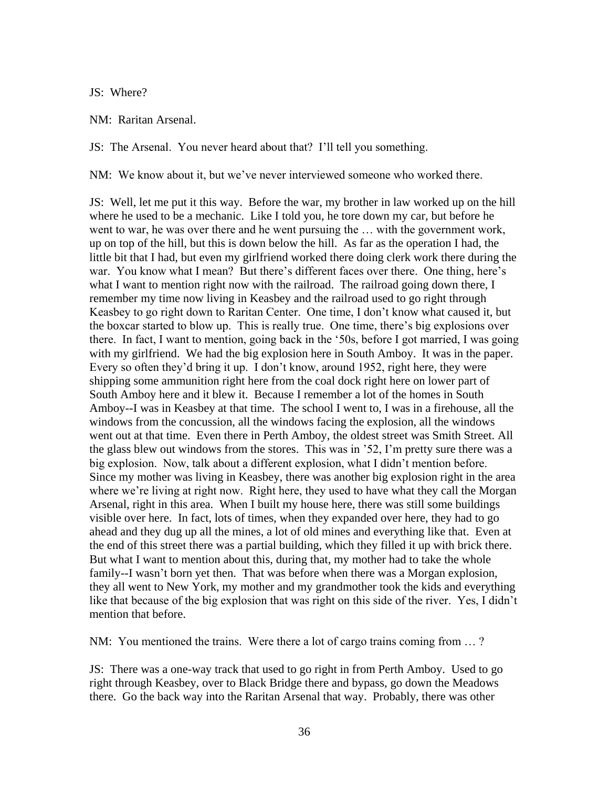JS: Where?

NM: Raritan Arsenal.

JS: The Arsenal. You never heard about that? I'll tell you something.

NM: We know about it, but we've never interviewed someone who worked there.

JS: Well, let me put it this way. Before the war, my brother in law worked up on the hill where he used to be a mechanic. Like I told you, he tore down my car, but before he went to war, he was over there and he went pursuing the … with the government work, up on top of the hill, but this is down below the hill. As far as the operation I had, the little bit that I had, but even my girlfriend worked there doing clerk work there during the war. You know what I mean? But there's different faces over there. One thing, here's what I want to mention right now with the railroad. The railroad going down there, I remember my time now living in Keasbey and the railroad used to go right through Keasbey to go right down to Raritan Center. One time, I don't know what caused it, but the boxcar started to blow up. This is really true. One time, there's big explosions over there. In fact, I want to mention, going back in the '50s, before I got married, I was going with my girlfriend. We had the big explosion here in South Amboy. It was in the paper. Every so often they'd bring it up. I don't know, around 1952, right here, they were shipping some ammunition right here from the coal dock right here on lower part of South Amboy here and it blew it. Because I remember a lot of the homes in South Amboy--I was in Keasbey at that time. The school I went to, I was in a firehouse, all the windows from the concussion, all the windows facing the explosion, all the windows went out at that time. Even there in Perth Amboy, the oldest street was Smith Street. All the glass blew out windows from the stores. This was in '52, I'm pretty sure there was a big explosion. Now, talk about a different explosion, what I didn't mention before. Since my mother was living in Keasbey, there was another big explosion right in the area where we're living at right now. Right here, they used to have what they call the Morgan Arsenal, right in this area. When I built my house here, there was still some buildings visible over here. In fact, lots of times, when they expanded over here, they had to go ahead and they dug up all the mines, a lot of old mines and everything like that. Even at the end of this street there was a partial building, which they filled it up with brick there. But what I want to mention about this, during that, my mother had to take the whole family--I wasn't born yet then. That was before when there was a Morgan explosion, they all went to New York, my mother and my grandmother took the kids and everything like that because of the big explosion that was right on this side of the river. Yes, I didn't mention that before.

NM: You mentioned the trains. Were there a lot of cargo trains coming from … ?

JS: There was a one-way track that used to go right in from Perth Amboy. Used to go right through Keasbey, over to Black Bridge there and bypass, go down the Meadows there. Go the back way into the Raritan Arsenal that way. Probably, there was other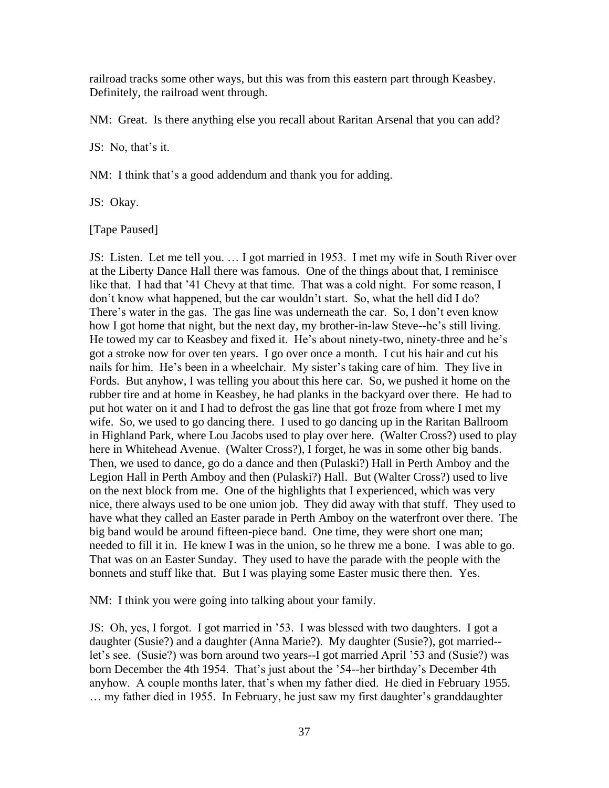railroad tracks some other ways, but this was from this eastern part through Keasbey. Definitely, the railroad went through.

NM: Great. Is there anything else you recall about Raritan Arsenal that you can add?

JS: No, that's it.

NM: I think that's a good addendum and thank you for adding.

JS: Okay.

[Tape Paused]

JS: Listen. Let me tell you. … I got married in 1953. I met my wife in South River over at the Liberty Dance Hall there was famous. One of the things about that, I reminisce like that. I had that '41 Chevy at that time. That was a cold night. For some reason, I don't know what happened, but the car wouldn't start. So, what the hell did I do? There's water in the gas. The gas line was underneath the car. So, I don't even know how I got home that night, but the next day, my brother-in-law Steve--he's still living. He towed my car to Keasbey and fixed it. He's about ninety-two, ninety-three and he's got a stroke now for over ten years. I go over once a month. I cut his hair and cut his nails for him. He's been in a wheelchair. My sister's taking care of him. They live in Fords. But anyhow, I was telling you about this here car. So, we pushed it home on the rubber tire and at home in Keasbey, he had planks in the backyard over there. He had to put hot water on it and I had to defrost the gas line that got froze from where I met my wife. So, we used to go dancing there. I used to go dancing up in the Raritan Ballroom in Highland Park, where Lou Jacobs used to play over here. (Walter Cross?) used to play here in Whitehead Avenue. (Walter Cross?), I forget, he was in some other big bands. Then, we used to dance, go do a dance and then (Pulaski?) Hall in Perth Amboy and the Legion Hall in Perth Amboy and then (Pulaski?) Hall. But (Walter Cross?) used to live on the next block from me. One of the highlights that I experienced, which was very nice, there always used to be one union job. They did away with that stuff. They used to have what they called an Easter parade in Perth Amboy on the waterfront over there. The big band would be around fifteen-piece band. One time, they were short one man; needed to fill it in. He knew I was in the union, so he threw me a bone. I was able to go. That was on an Easter Sunday. They used to have the parade with the people with the bonnets and stuff like that. But I was playing some Easter music there then. Yes.

NM: I think you were going into talking about your family.

JS: Oh, yes, I forgot. I got married in '53. I was blessed with two daughters. I got a daughter (Susie?) and a daughter (Anna Marie?). My daughter (Susie?), got married- let's see. (Susie?) was born around two years--I got married April '53 and (Susie?) was born December the 4th 1954. That's just about the '54--her birthday's December 4th anyhow. A couple months later, that's when my father died. He died in February 1955. … my father died in 1955. In February, he just saw my first daughter's granddaughter